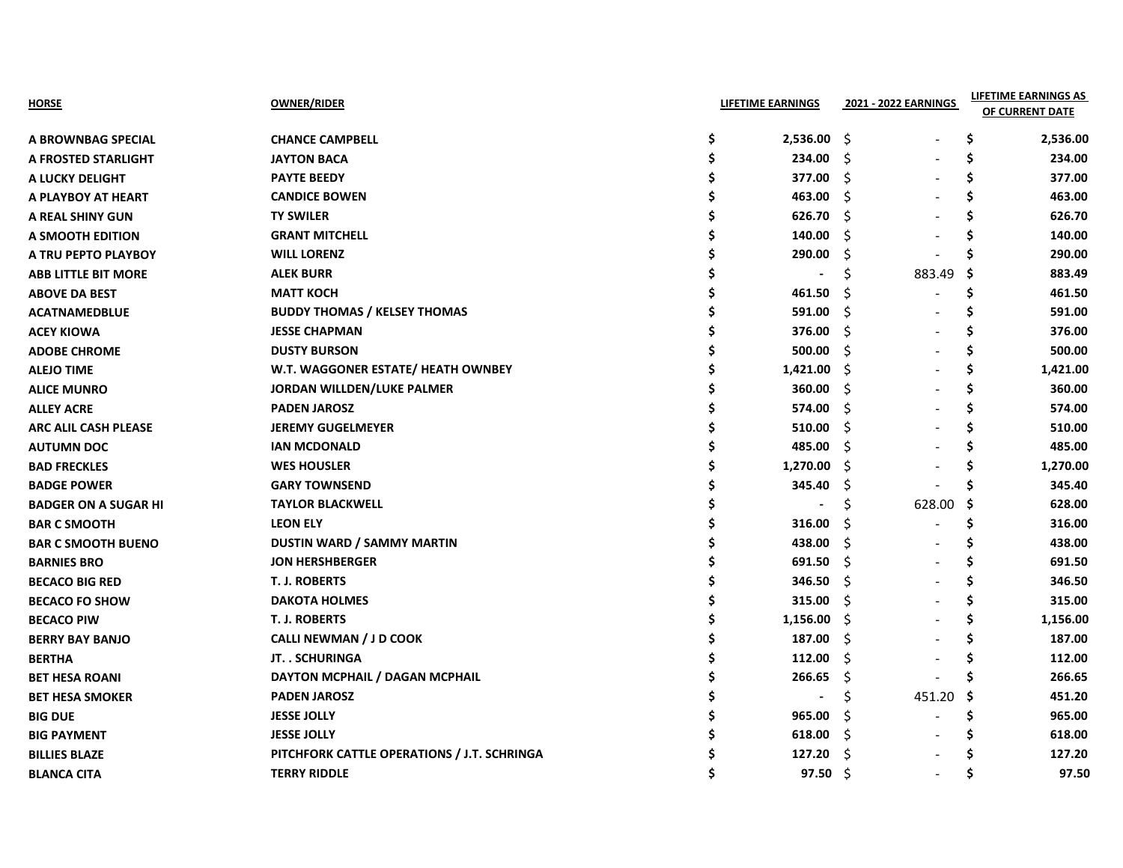| HORSE                       | <b>OWNER/RIDER</b>                          | <b>LIFETIME EARNINGS</b> |      | 2021 - 2022 EARNINGS |     | <b>LIFETIME EARNINGS AS</b><br>OF CURRENT DATE |
|-----------------------------|---------------------------------------------|--------------------------|------|----------------------|-----|------------------------------------------------|
| A BROWNBAG SPECIAL          | <b>CHANCE CAMPBELL</b>                      | \$<br>2,536.00           | - \$ |                      | S   | 2,536.00                                       |
| A FROSTED STARLIGHT         | <b>JAYTON BACA</b>                          | \$<br>234.00             | -Ŝ   |                      | S   | 234.00                                         |
| A LUCKY DELIGHT             | <b>PAYTE BEEDY</b>                          | 377.00                   | -S   |                      | S   | 377.00                                         |
| A PLAYBOY AT HEART          | <b>CANDICE BOWEN</b>                        | 463.00                   | S    |                      | S   | 463.00                                         |
| A REAL SHINY GUN            | <b>TY SWILER</b>                            | 626.70                   | \$   |                      |     | 626.70                                         |
| A SMOOTH EDITION            | <b>GRANT MITCHELL</b>                       | 140.00                   | \$   |                      |     | 140.00                                         |
| A TRU PEPTO PLAYBOY         | <b>WILL LORENZ</b>                          | 290.00                   | S    |                      |     | 290.00                                         |
| <b>ABB LITTLE BIT MORE</b>  | <b>ALEK BURR</b>                            | $\blacksquare$           | \$   | 883.49               | -S  | 883.49                                         |
| <b>ABOVE DA BEST</b>        | <b>MATT KOCH</b>                            | 461.50                   | S    |                      | S   | 461.50                                         |
| <b>ACATNAMEDBLUE</b>        | <b>BUDDY THOMAS / KELSEY THOMAS</b>         | 591.00                   | -S   |                      |     | 591.00                                         |
| <b>ACEY KIOWA</b>           | <b>JESSE CHAPMAN</b>                        | 376.00                   | \$.  |                      |     | 376.00                                         |
| <b>ADOBE CHROME</b>         | <b>DUSTY BURSON</b>                         | 500.00                   | Š.   |                      |     | 500.00                                         |
| <b>ALEJO TIME</b>           | W.T. WAGGONER ESTATE/ HEATH OWNBEY          | 1,421.00                 | S    |                      |     | 1,421.00                                       |
| <b>ALICE MUNRO</b>          | JORDAN WILLDEN/LUKE PALMER                  | 360.00                   | \$   |                      |     | 360.00                                         |
| <b>ALLEY ACRE</b>           | <b>PADEN JAROSZ</b>                         | 574.00                   | \$   |                      |     | 574.00                                         |
| <b>ARC ALIL CASH PLEASE</b> | <b>JEREMY GUGELMEYER</b>                    | 510.00                   | \$.  |                      |     | 510.00                                         |
| <b>AUTUMN DOC</b>           | <b>IAN MCDONALD</b>                         | 485.00                   | \$.  |                      |     | 485.00                                         |
| <b>BAD FRECKLES</b>         | <b>WES HOUSLER</b>                          | 1,270.00                 | \$   |                      | S   | 1,270.00                                       |
| <b>BADGE POWER</b>          | <b>GARY TOWNSEND</b>                        | 345.40                   | \$,  |                      | S   | 345.40                                         |
| <b>BADGER ON A SUGAR HI</b> | <b>TAYLOR BLACKWELL</b>                     |                          | Ś    | 628.00               | \$. | 628.00                                         |
| <b>BAR C SMOOTH</b>         | <b>LEON ELY</b>                             | 316.00                   | S    |                      |     | 316.00                                         |
| <b>BAR C SMOOTH BUENO</b>   | <b>DUSTIN WARD / SAMMY MARTIN</b>           | 438.00                   | -\$  |                      |     | 438.00                                         |
| <b>BARNIES BRO</b>          | <b>JON HERSHBERGER</b>                      | 691.50                   | -Ŝ   |                      |     | 691.50                                         |
| <b>BECACO BIG RED</b>       | <b>T. J. ROBERTS</b>                        | 346.50                   | Ŝ    |                      | S   | 346.50                                         |
| <b>BECACO FO SHOW</b>       | <b>DAKOTA HOLMES</b>                        | 315.00                   | -\$  |                      |     | 315.00                                         |
| <b>BECACO PIW</b>           | T. J. ROBERTS                               | 1,156.00                 | \$.  |                      |     | 1,156.00                                       |
| <b>BERRY BAY BANJO</b>      | <b>CALLI NEWMAN / J D COOK</b>              | 187.00                   | \$.  |                      |     | 187.00                                         |
| <b>BERTHA</b>               | JT. . SCHURINGA                             | 112.00                   | \$   |                      |     | 112.00                                         |
| <b>BET HESA ROANI</b>       | DAYTON MCPHAIL / DAGAN MCPHAIL              | 266.65                   | \$   |                      |     | 266.65                                         |
| <b>BET HESA SMOKER</b>      | <b>PADEN JAROSZ</b>                         |                          | \$.  | 451.20               | -S  | 451.20                                         |
| <b>BIG DUE</b>              | <b>JESSE JOLLY</b>                          | 965.00                   | \$   |                      | Ś   | 965.00                                         |
| <b>BIG PAYMENT</b>          | <b>JESSE JOLLY</b>                          | 618.00                   | \$   |                      |     | 618.00                                         |
| <b>BILLIES BLAZE</b>        | PITCHFORK CATTLE OPERATIONS / J.T. SCHRINGA | 127.20                   | \$   |                      |     | 127.20                                         |
| <b>BLANCA CITA</b>          | <b>TERRY RIDDLE</b>                         | 97.50%                   |      |                      | S   | 97.50                                          |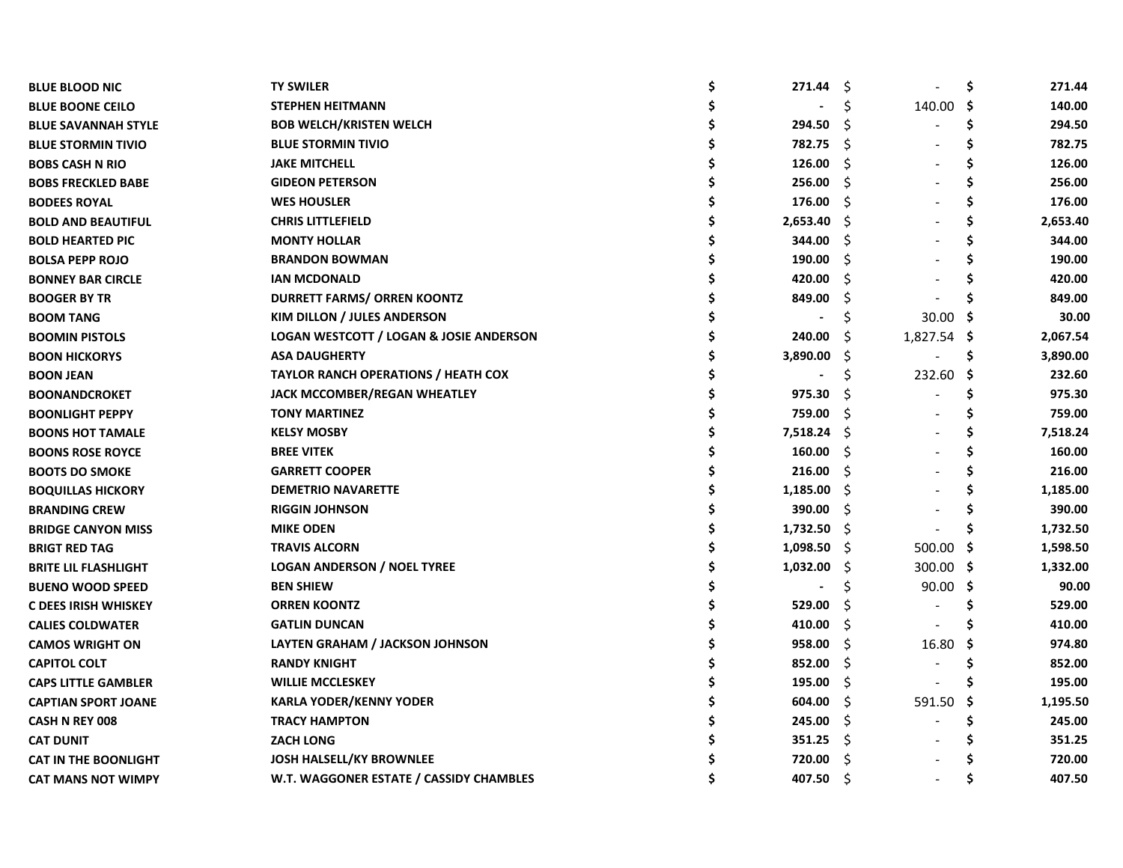| <b>BLUE BLOOD NIC</b>       | <b>TY SWILER</b>                                   | 271.44   | -\$ |             | \$  | 271.44   |
|-----------------------------|----------------------------------------------------|----------|-----|-------------|-----|----------|
| <b>BLUE BOONE CEILO</b>     | <b>STEPHEN HEITMANN</b>                            |          | Ś   | 140.00      | \$  | 140.00   |
| <b>BLUE SAVANNAH STYLE</b>  | <b>BOB WELCH/KRISTEN WELCH</b>                     | 294.50   | S   |             | \$  | 294.50   |
| <b>BLUE STORMIN TIVIO</b>   | <b>BLUE STORMIN TIVIO</b>                          | 782.75   | Ŝ.  |             | \$  | 782.75   |
| <b>BOBS CASH N RIO</b>      | <b>JAKE MITCHELL</b>                               | 126.00   | Ŝ.  |             | \$  | 126.00   |
| <b>BOBS FRECKLED BABE</b>   | <b>GIDEON PETERSON</b>                             | 256.00   | Ŝ.  |             | \$  | 256.00   |
| <b>BODEES ROYAL</b>         | <b>WES HOUSLER</b>                                 | 176.00   | Ŝ.  |             | \$  | 176.00   |
| <b>BOLD AND BEAUTIFUL</b>   | <b>CHRIS LITTLEFIELD</b>                           | 2,653.40 | -S  |             | S   | 2,653.40 |
| <b>BOLD HEARTED PIC</b>     | <b>MONTY HOLLAR</b>                                | 344.00   | S   |             |     | 344.00   |
| <b>BOLSA PEPP ROJO</b>      | <b>BRANDON BOWMAN</b>                              | 190.00   | Ŝ   |             |     | 190.00   |
| <b>BONNEY BAR CIRCLE</b>    | <b>IAN MCDONALD</b>                                | 420.00   | Ŝ   |             |     | 420.00   |
| <b>BOOGER BY TR</b>         | <b>DURRETT FARMS/ ORREN KOONTZ</b>                 | 849.00   | S   |             |     | 849.00   |
| <b>BOOM TANG</b>            | KIM DILLON / JULES ANDERSON                        |          |     | 30.00       |     | 30.00    |
| <b>BOOMIN PISTOLS</b>       | <b>LOGAN WESTCOTT / LOGAN &amp; JOSIE ANDERSON</b> | 240.00   | S   | 1,827.54 \$ |     | 2,067.54 |
| <b>BOON HICKORYS</b>        | <b>ASA DAUGHERTY</b>                               | 3,890.00 | S   |             | \$. | 3,890.00 |
| <b>BOON JEAN</b>            | <b>TAYLOR RANCH OPERATIONS / HEATH COX</b>         |          | Ş   | 232.60      | S   | 232.60   |
| <b>BOONANDCROKET</b>        | <b>JACK MCCOMBER/REGAN WHEATLEY</b>                | 975.30   | S   |             | Ś   | 975.30   |
| <b>BOONLIGHT PEPPY</b>      | <b>TONY MARTINEZ</b>                               | 759.00   | Ŝ   |             | S   | 759.00   |
| <b>BOONS HOT TAMALE</b>     | <b>KELSY MOSBY</b>                                 | 7,518.24 | -S  |             | Ś   | 7,518.24 |
| <b>BOONS ROSE ROYCE</b>     | <b>BREE VITEK</b>                                  | 160.00   | -S  |             | S   | 160.00   |
| <b>BOOTS DO SMOKE</b>       | <b>GARRETT COOPER</b>                              | 216.00   | Ŝ   |             | Ś   | 216.00   |
| <b>BOQUILLAS HICKORY</b>    | <b>DEMETRIO NAVARETTE</b>                          | 1,185.00 | Ŝ.  |             | S   | 1,185.00 |
| <b>BRANDING CREW</b>        | <b>RIGGIN JOHNSON</b>                              | 390.00   | Ŝ.  |             |     | 390.00   |
| <b>BRIDGE CANYON MISS</b>   | <b>MIKE ODEN</b>                                   | 1,732.50 | Ŝ.  |             | Ś   | 1,732.50 |
| <b>BRIGT RED TAG</b>        | <b>TRAVIS ALCORN</b>                               | 1,098.50 | -S  | 500.00      | .S  | 1,598.50 |
| <b>BRITE LIL FLASHLIGHT</b> | <b>LOGAN ANDERSON / NOEL TYREE</b>                 | 1,032.00 | -\$ | 300.00 \$   |     | 1,332.00 |
| <b>BUENO WOOD SPEED</b>     | <b>BEN SHIEW</b>                                   |          | \$  | 90.00       | -S  | 90.00    |
| C DEES IRISH WHISKEY        | <b>ORREN KOONTZ</b>                                | 529.00   | Ś   |             |     | 529.00   |
| <b>CALIES COLDWATER</b>     | <b>GATLIN DUNCAN</b>                               | 410.00   | \$  |             |     | 410.00   |
| <b>CAMOS WRIGHT ON</b>      | LAYTEN GRAHAM / JACKSON JOHNSON                    | 958.00   | Ŝ.  | 16.80       | .S  | 974.80   |
| <b>CAPITOL COLT</b>         | <b>RANDY KNIGHT</b>                                | 852.00   | S   |             | S   | 852.00   |
| <b>CAPS LITTLE GAMBLER</b>  | <b>WILLIE MCCLESKEY</b>                            | 195.00   | Ŝ.  |             |     | 195.00   |
| <b>CAPTIAN SPORT JOANE</b>  | <b>KARLA YODER/KENNY YODER</b>                     | 604.00   | -S  | 591.50      | -S  | 1,195.50 |
| <b>CASH N REY 008</b>       | <b>TRACY HAMPTON</b>                               | 245.00   | -S  |             | \$  | 245.00   |
| <b>CAT DUNIT</b>            | <b>ZACH LONG</b>                                   | 351.25   | -S  |             |     | 351.25   |
| <b>CAT IN THE BOONLIGHT</b> | <b>JOSH HALSELL/KY BROWNLEE</b>                    | 720.00   | Ŝ   |             |     | 720.00   |
| <b>CAT MANS NOT WIMPY</b>   | W.T. WAGGONER ESTATE / CASSIDY CHAMBLES            | 407.50   | Ŝ   |             |     | 407.50   |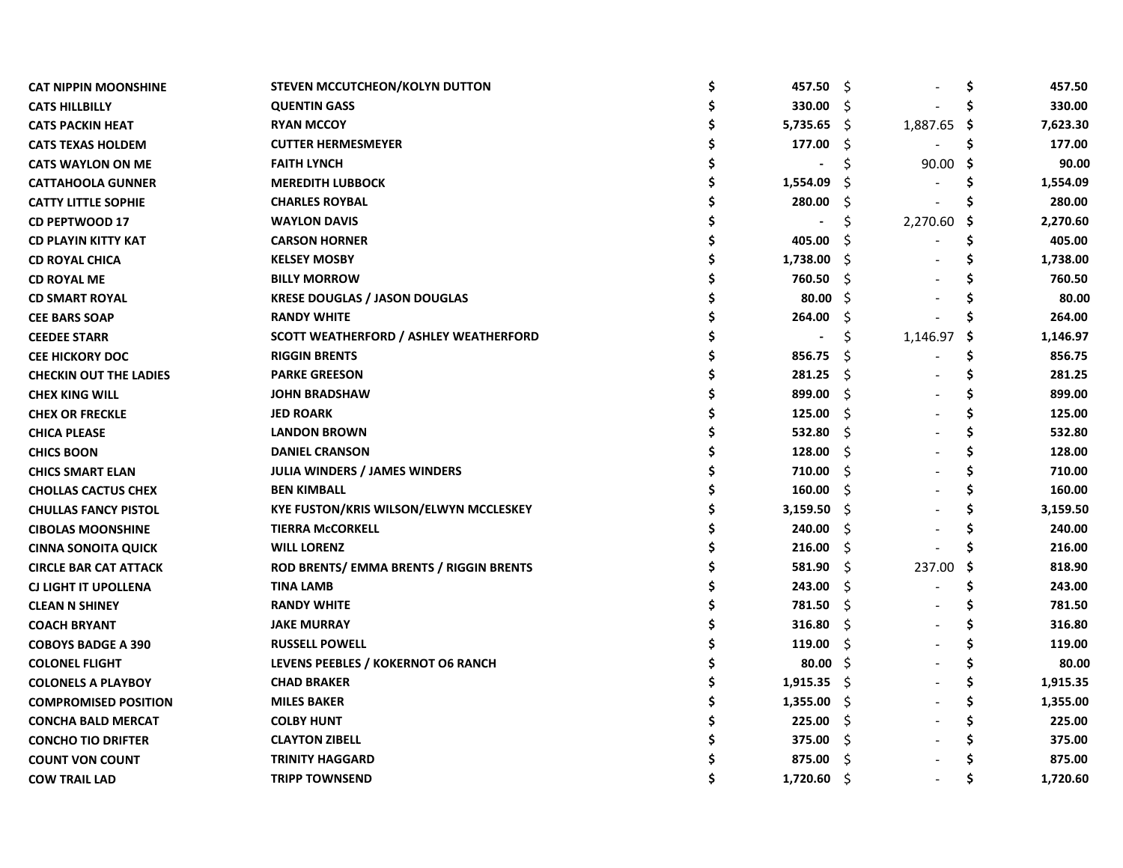| <b>CAT NIPPIN MOONSHINE</b>   | STEVEN MCCUTCHEON/KOLYN DUTTON                | \$<br>457.50 | -\$ |             | \$  | 457.50   |
|-------------------------------|-----------------------------------------------|--------------|-----|-------------|-----|----------|
| <b>CATS HILLBILLY</b>         | <b>QUENTIN GASS</b>                           | 330.00       | Ŝ.  |             | S   | 330.00   |
| <b>CATS PACKIN HEAT</b>       | <b>RYAN MCCOY</b>                             | 5,735.65     | - S | 1,887.65 \$ |     | 7,623.30 |
| <b>CATS TEXAS HOLDEM</b>      | <b>CUTTER HERMESMEYER</b>                     | 177.00       | S   |             | S   | 177.00   |
| <b>CATS WAYLON ON ME</b>      | <b>FAITH LYNCH</b>                            |              |     | 90.00       | - S | 90.00    |
| <b>CATTAHOOLA GUNNER</b>      | <b>MEREDITH LUBBOCK</b>                       | 1,554.09     | -S  |             | S   | 1,554.09 |
| <b>CATTY LITTLE SOPHIE</b>    | <b>CHARLES ROYBAL</b>                         | 280.00       | S   |             |     | 280.00   |
| <b>CD PEPTWOOD 17</b>         | <b>WAYLON DAVIS</b>                           |              | Ś   | 2,270.60    | -S  | 2,270.60 |
| <b>CD PLAYIN KITTY KAT</b>    | <b>CARSON HORNER</b>                          | 405.00       | S   |             | S   | 405.00   |
| <b>CD ROYAL CHICA</b>         | <b>KELSEY MOSBY</b>                           | 1,738.00     | -S  |             | S   | 1,738.00 |
| <b>CD ROYAL ME</b>            | <b>BILLY MORROW</b>                           | 760.50       | -S  |             |     | 760.50   |
| <b>CD SMART ROYAL</b>         | <b>KRESE DOUGLAS / JASON DOUGLAS</b>          | 80.00        | -S  |             |     | 80.00    |
| <b>CEE BARS SOAP</b>          | <b>RANDY WHITE</b>                            | 264.00       | S   |             |     | 264.00   |
| <b>CEEDEE STARR</b>           | <b>SCOTT WEATHERFORD / ASHLEY WEATHERFORD</b> |              | \$  | 1,146.97    | -S  | 1,146.97 |
| <b>CEE HICKORY DOC</b>        | <b>RIGGIN BRENTS</b>                          | 856.75       | S   |             | \$  | 856.75   |
| <b>CHECKIN OUT THE LADIES</b> | <b>PARKE GREESON</b>                          | 281.25       | -S  |             | s   | 281.25   |
| <b>CHEX KING WILL</b>         | <b>JOHN BRADSHAW</b>                          | 899.00       | Ŝ   |             | Ś   | 899.00   |
| <b>CHEX OR FRECKLE</b>        | <b>JED ROARK</b>                              | 125.00       | Ŝ.  |             | \$  | 125.00   |
| <b>CHICA PLEASE</b>           | <b>LANDON BROWN</b>                           | 532.80       | Ŝ.  |             | \$  | 532.80   |
| <b>CHICS BOON</b>             | <b>DANIEL CRANSON</b>                         | 128.00       | Ŝ.  |             | \$  | 128.00   |
| <b>CHICS SMART ELAN</b>       | <b>JULIA WINDERS / JAMES WINDERS</b>          | 710.00       | Ŝ.  |             | \$  | 710.00   |
| <b>CHOLLAS CACTUS CHEX</b>    | <b>BEN KIMBALL</b>                            | 160.00       | Ŝ   |             | Ś   | 160.00   |
| <b>CHULLAS FANCY PISTOL</b>   | KYE FUSTON/KRIS WILSON/ELWYN MCCLESKEY        | 3,159.50     | \$  |             | Ś   | 3,159.50 |
| <b>CIBOLAS MOONSHINE</b>      | <b>TIERRA McCORKELL</b>                       | 240.00       | \$  |             | Ś   | 240.00   |
| <b>CINNA SONOITA QUICK</b>    | <b>WILL LORENZ</b>                            | 216.00       | Ŝ.  |             |     | 216.00   |
| <b>CIRCLE BAR CAT ATTACK</b>  | ROD BRENTS/ EMMA BRENTS / RIGGIN BRENTS       | 581.90       | Ŝ   | 237.00      | .\$ | 818.90   |
| <b>CJ LIGHT IT UPOLLENA</b>   | <b>TINA LAMB</b>                              | 243.00       | Ŝ.  |             | \$. | 243.00   |
| <b>CLEAN N SHINEY</b>         | <b>RANDY WHITE</b>                            | 781.50       | \$  |             |     | 781.50   |
| <b>COACH BRYANT</b>           | <b>JAKE MURRAY</b>                            | 316.80       | -S  |             |     | 316.80   |
| <b>COBOYS BADGE A 390</b>     | <b>RUSSELL POWELL</b>                         | 119.00       | -S  |             | Ś   | 119.00   |
| <b>COLONEL FLIGHT</b>         | LEVENS PEEBLES / KOKERNOT O6 RANCH            | 80.00        | -\$ |             | Ś   | 80.00    |
| <b>COLONELS A PLAYBOY</b>     | <b>CHAD BRAKER</b>                            | 1,915.35     | -S  |             | \$. | 1,915.35 |
| <b>COMPROMISED POSITION</b>   | <b>MILES BAKER</b>                            | 1,355.00     | -S  |             | \$  | 1,355.00 |
| <b>CONCHA BALD MERCAT</b>     | <b>COLBY HUNT</b>                             | 225.00       | -S  |             | Ś   | 225.00   |
| <b>CONCHO TIO DRIFTER</b>     | <b>CLAYTON ZIBELL</b>                         | 375.00       | Ŝ   |             | Ś   | 375.00   |
| <b>COUNT VON COUNT</b>        | <b>TRINITY HAGGARD</b>                        | 875.00       | Ŝ   |             |     | 875.00   |
| <b>COW TRAIL LAD</b>          | <b>TRIPP TOWNSEND</b>                         | 1,720.60     | Ŝ.  |             | Ś   | 1,720.60 |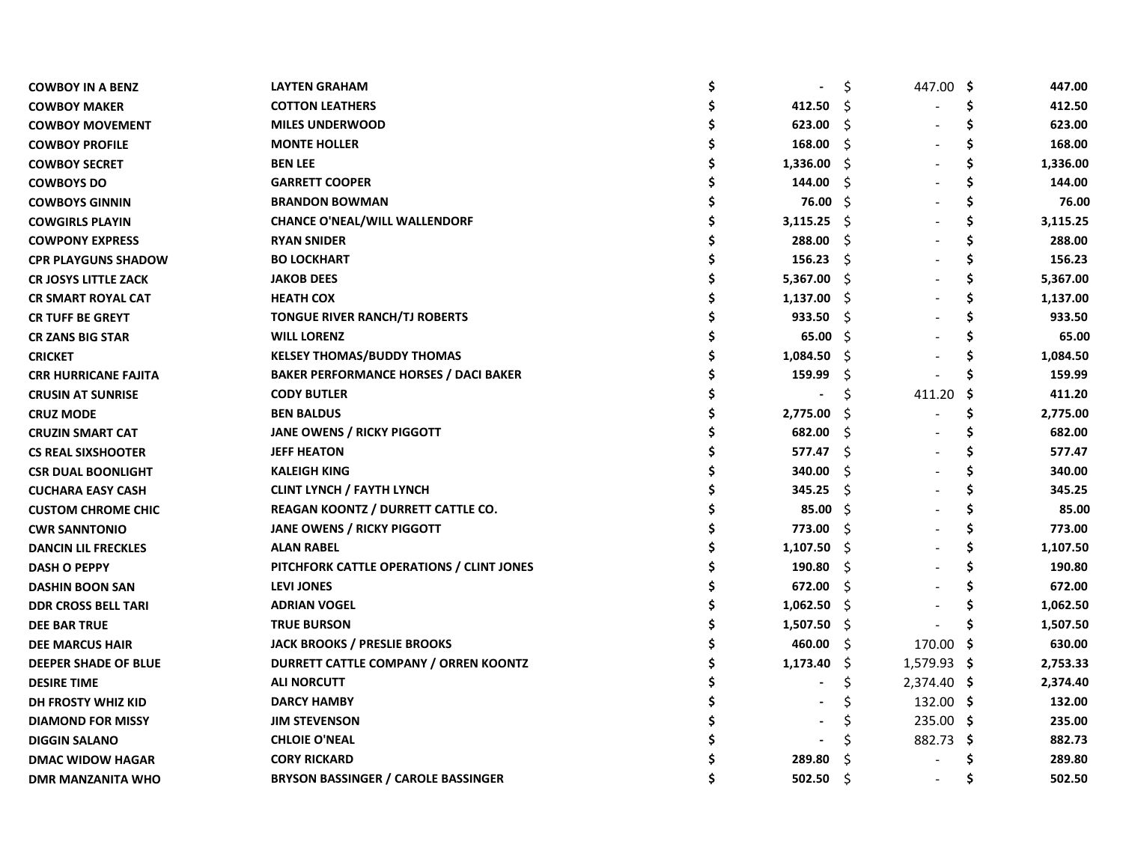| <b>COWBOY IN A BENZ</b>     | <b>LAYTEN GRAHAM</b>                         | $\qquad \qquad \blacksquare$ | \$  | 447.00 \$   |     | 447.00   |
|-----------------------------|----------------------------------------------|------------------------------|-----|-------------|-----|----------|
| <b>COWBOY MAKER</b>         | <b>COTTON LEATHERS</b>                       | 412.50                       | Ŝ   |             | S   | 412.50   |
| <b>COWBOY MOVEMENT</b>      | <b>MILES UNDERWOOD</b>                       | 623.00                       | Ŝ.  |             | S   | 623.00   |
| <b>COWBOY PROFILE</b>       | <b>MONTE HOLLER</b>                          | 168.00                       | -S  |             | s   | 168.00   |
| <b>COWBOY SECRET</b>        | <b>BEN LEE</b>                               | 1,336.00                     | -S  |             | S   | 1,336.00 |
| <b>COWBOYS DO</b>           | <b>GARRETT COOPER</b>                        | 144.00                       | -Ŝ  |             | \$. | 144.00   |
| <b>COWBOYS GINNIN</b>       | <b>BRANDON BOWMAN</b>                        | 76.00                        | - Ś |             | S   | 76.00    |
| <b>COWGIRLS PLAYIN</b>      | <b>CHANCE O'NEAL/WILL WALLENDORF</b>         | 3,115.25                     | -S  |             | S   | 3,115.25 |
| <b>COWPONY EXPRESS</b>      | <b>RYAN SNIDER</b>                           | 288.00                       | S   |             |     | 288.00   |
| <b>CPR PLAYGUNS SHADOW</b>  | <b>BO LOCKHART</b>                           | 156.23                       | -Ŝ  |             |     | 156.23   |
| <b>CR JOSYS LITTLE ZACK</b> | <b>JAKOB DEES</b>                            | 5,367.00                     | - S |             |     | 5,367.00 |
| <b>CR SMART ROYAL CAT</b>   | <b>HEATH COX</b>                             | 1,137.00                     | - S |             |     | 1,137.00 |
| <b>CR TUFF BE GREYT</b>     | <b>TONGUE RIVER RANCH/TJ ROBERTS</b>         | 933.50                       | -S  |             |     | 933.50   |
| <b>CR ZANS BIG STAR</b>     | <b>WILL LORENZ</b>                           | 65.00                        | -S  |             |     | 65.00    |
| <b>CRICKET</b>              | <b>KELSEY THOMAS/BUDDY THOMAS</b>            | 1,084.50                     | -S  |             |     | 1,084.50 |
| <b>CRR HURRICANE FAJITA</b> | <b>BAKER PERFORMANCE HORSES / DACI BAKER</b> | 159.99                       | Ş   |             |     | 159.99   |
| <b>CRUSIN AT SUNRISE</b>    | <b>CODY BUTLER</b>                           |                              | S   | 411.20      | S   | 411.20   |
| <b>CRUZ MODE</b>            | <b>BEN BALDUS</b>                            | 2,775.00                     | -S  |             | S   | 2,775.00 |
| <b>CRUZIN SMART CAT</b>     | <b>JANE OWENS / RICKY PIGGOTT</b>            | 682.00                       | -\$ |             | S   | 682.00   |
| <b>CS REAL SIXSHOOTER</b>   | <b>JEFF HEATON</b>                           | 577.47                       | - S |             |     | 577.47   |
| <b>CSR DUAL BOONLIGHT</b>   | <b>KALEIGH KING</b>                          | 340.00                       | -Ŝ  |             | Ś   | 340.00   |
| <b>CUCHARA EASY CASH</b>    | <b>CLINT LYNCH / FAYTH LYNCH</b>             | 345.25                       | -\$ |             | S   | 345.25   |
| <b>CUSTOM CHROME CHIC</b>   | REAGAN KOONTZ / DURRETT CATTLE CO.           | 85.00                        | - Ś |             | S   | 85.00    |
| <b>CWR SANNTONIO</b>        | <b>JANE OWENS / RICKY PIGGOTT</b>            | 773.00                       | Ŝ.  |             |     | 773.00   |
| <b>DANCIN LIL FRECKLES</b>  | <b>ALAN RABEL</b>                            | 1,107.50                     | -S  |             |     | 1,107.50 |
| <b>DASH O PEPPY</b>         | PITCHFORK CATTLE OPERATIONS / CLINT JONES    | 190.80                       | Ŝ.  |             |     | 190.80   |
| <b>DASHIN BOON SAN</b>      | <b>LEVI JONES</b>                            | 672.00                       | S   |             |     | 672.00   |
| <b>DDR CROSS BELL TARI</b>  | <b>ADRIAN VOGEL</b>                          | 1,062.50                     | -S  |             |     | 1,062.50 |
| <b>DEE BAR TRUE</b>         | <b>TRUE BURSON</b>                           | 1,507.50                     | -\$ |             |     | 1,507.50 |
| <b>DEE MARCUS HAIR</b>      | <b>JACK BROOKS / PRESLIE BROOKS</b>          | 460.00                       | -S  | 170.00 \$   |     | 630.00   |
| DEEPER SHADE OF BLUE        | DURRETT CATTLE COMPANY / ORREN KOONTZ        | 1,173.40                     | -\$ | 1,579.93 \$ |     | 2,753.33 |
| <b>DESIRE TIME</b>          | <b>ALI NORCUTT</b>                           |                              | \$  | 2,374.40 \$ |     | 2,374.40 |
| DH FROSTY WHIZ KID          | <b>DARCY HAMBY</b>                           |                              |     | 132.00 \$   |     | 132.00   |
| <b>DIAMOND FOR MISSY</b>    | <b>JIM STEVENSON</b>                         |                              | S   | $235.00$ \$ |     | 235.00   |
| <b>DIGGIN SALANO</b>        | <b>CHLOIE O'NEAL</b>                         |                              |     | 882.73 \$   |     | 882.73   |
| <b>DMAC WIDOW HAGAR</b>     | <b>CORY RICKARD</b>                          | 289.80                       | Ŝ   |             |     | 289.80   |
| <b>DMR MANZANITA WHO</b>    | <b>BRYSON BASSINGER / CAROLE BASSINGER</b>   | 502.50                       | Ŝ   |             | S   | 502.50   |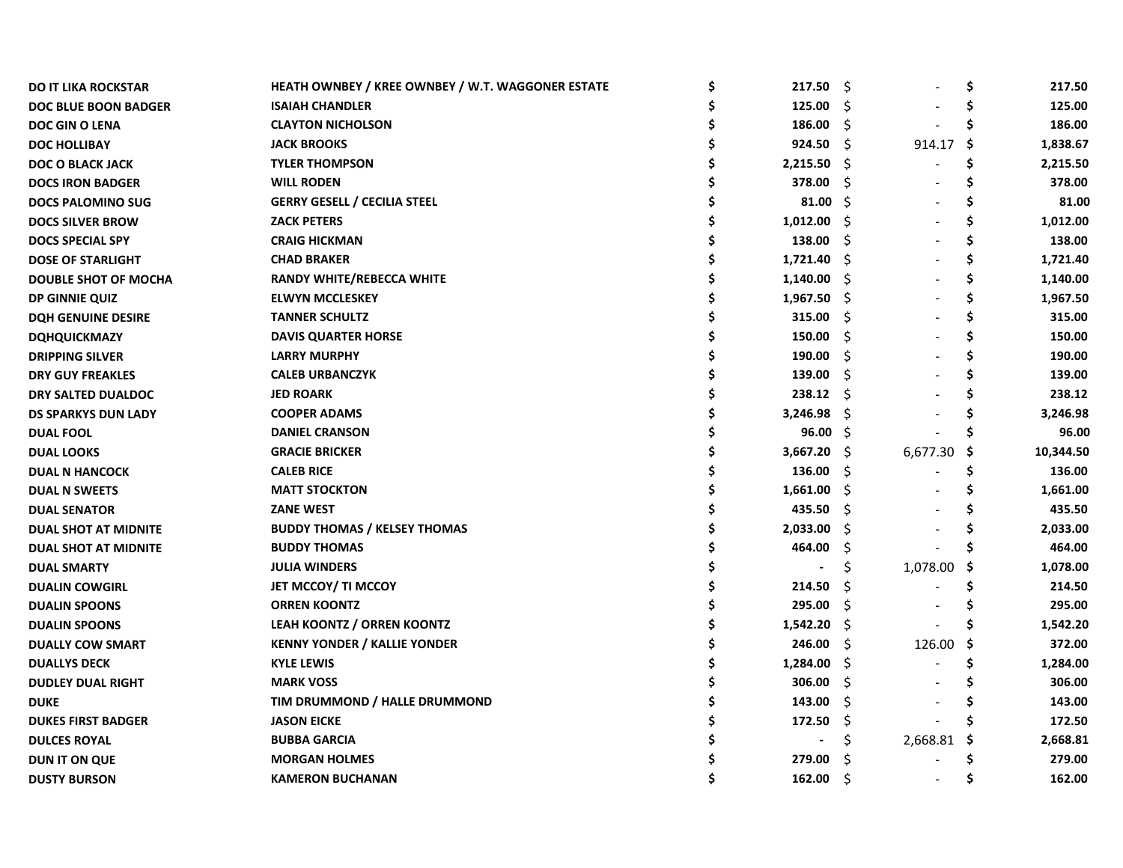|                                     |                                                                             | 217.50         | -\$    |                                                                                            | \$     | 217.50    |
|-------------------------------------|-----------------------------------------------------------------------------|----------------|--------|--------------------------------------------------------------------------------------------|--------|-----------|
|                                     |                                                                             |                |        |                                                                                            |        | 125.00    |
| <b>CLAYTON NICHOLSON</b>            |                                                                             | 186.00         | \$.    |                                                                                            |        | 186.00    |
| <b>JACK BROOKS</b>                  |                                                                             | 924.50         | -\$    |                                                                                            | -\$    | 1,838.67  |
| <b>TYLER THOMPSON</b>               |                                                                             | 2,215.50       |        |                                                                                            | \$.    | 2,215.50  |
| <b>WILL RODEN</b>                   |                                                                             | 378.00         | -S     |                                                                                            | S      | 378.00    |
| <b>GERRY GESELL / CECILIA STEEL</b> |                                                                             | 81.00          | - Ś    |                                                                                            |        | 81.00     |
| <b>ZACK PETERS</b>                  |                                                                             | 1,012.00       |        |                                                                                            |        | 1,012.00  |
| <b>CRAIG HICKMAN</b>                |                                                                             | 138.00         | -S     |                                                                                            |        | 138.00    |
| <b>CHAD BRAKER</b>                  |                                                                             | 1,721.40       |        |                                                                                            |        | 1,721.40  |
| <b>RANDY WHITE/REBECCA WHITE</b>    |                                                                             | 1,140.00       |        |                                                                                            |        | 1,140.00  |
| <b>ELWYN MCCLESKEY</b>              |                                                                             |                |        |                                                                                            |        | 1,967.50  |
| <b>TANNER SCHULTZ</b>               |                                                                             | 315.00         | -\$    |                                                                                            |        | 315.00    |
| <b>DAVIS QUARTER HORSE</b>          |                                                                             | 150.00         | -S     |                                                                                            |        | 150.00    |
| <b>LARRY MURPHY</b>                 |                                                                             | 190.00         | -Ŝ     |                                                                                            |        | 190.00    |
| <b>CALEB URBANCZYK</b>              |                                                                             | 139.00         | - S    |                                                                                            |        | 139.00    |
| <b>JED ROARK</b>                    |                                                                             | 238.12         |        |                                                                                            |        | 238.12    |
| <b>COOPER ADAMS</b>                 |                                                                             | 3,246.98       |        |                                                                                            |        | 3,246.98  |
| <b>DANIEL CRANSON</b>               |                                                                             |                |        |                                                                                            |        | 96.00     |
| <b>GRACIE BRICKER</b>               |                                                                             | 3,667.20       |        | 6,677.30                                                                                   | S      | 10,344.50 |
| <b>CALEB RICE</b>                   |                                                                             | 136.00         | Ŝ.     |                                                                                            | Ś      | 136.00    |
| <b>MATT STOCKTON</b>                |                                                                             | 1,661.00       | - \$   |                                                                                            | S      | 1,661.00  |
| <b>ZANE WEST</b>                    |                                                                             | 435.50         | Š.     |                                                                                            |        | 435.50    |
| <b>BUDDY THOMAS / KELSEY THOMAS</b> |                                                                             | 2,033.00       | Ŝ      |                                                                                            |        | 2,033.00  |
| <b>BUDDY THOMAS</b>                 |                                                                             | 464.00         | S      |                                                                                            |        | 464.00    |
| <b>JULIA WINDERS</b>                |                                                                             |                | \$     | 1,078.00                                                                                   | S      | 1,078.00  |
| <b>JET MCCOY/ TI MCCOY</b>          |                                                                             | 214.50         | Ŝ      |                                                                                            |        | 214.50    |
| <b>ORREN KOONTZ</b>                 |                                                                             | 295.00         | \$.    |                                                                                            |        | 295.00    |
| LEAH KOONTZ / ORREN KOONTZ          |                                                                             | 1,542.20       | - S    |                                                                                            |        | 1,542.20  |
| <b>KENNY YONDER / KALLIE YONDER</b> |                                                                             | 246.00         | -S     | 126.00                                                                                     | -\$    | 372.00    |
| <b>KYLE LEWIS</b>                   |                                                                             | 1,284.00       | -\$    |                                                                                            | Ś      | 1,284.00  |
| <b>MARK VOSS</b>                    |                                                                             | 306.00         | -\$    |                                                                                            |        | 306.00    |
| TIM DRUMMOND / HALLE DRUMMOND       |                                                                             | 143.00         | \$.    |                                                                                            |        | 143.00    |
| <b>JASON EICKE</b>                  |                                                                             | 172.50         | S      |                                                                                            |        | 172.50    |
| <b>BUBBA GARCIA</b>                 |                                                                             | $\blacksquare$ | Ş.     | 2,668.81                                                                                   | Ş      | 2,668.81  |
| <b>MORGAN HOLMES</b>                |                                                                             | 279.00         | S      |                                                                                            |        | 279.00    |
| <b>KAMERON BUCHANAN</b>             |                                                                             | 162.00         | Ŝ      |                                                                                            |        | 162.00    |
|                                     | HEATH OWNBEY / KREE OWNBEY / W.T. WAGGONER ESTATE<br><b>ISAIAH CHANDLER</b> | \$             | 125.00 | Ŝ.<br>- \$<br>- S<br>- S<br>- \$<br>$1,967.50$ \$<br>- \$<br>- S<br>$96.00 \quad $$<br>- S | 914.17 |           |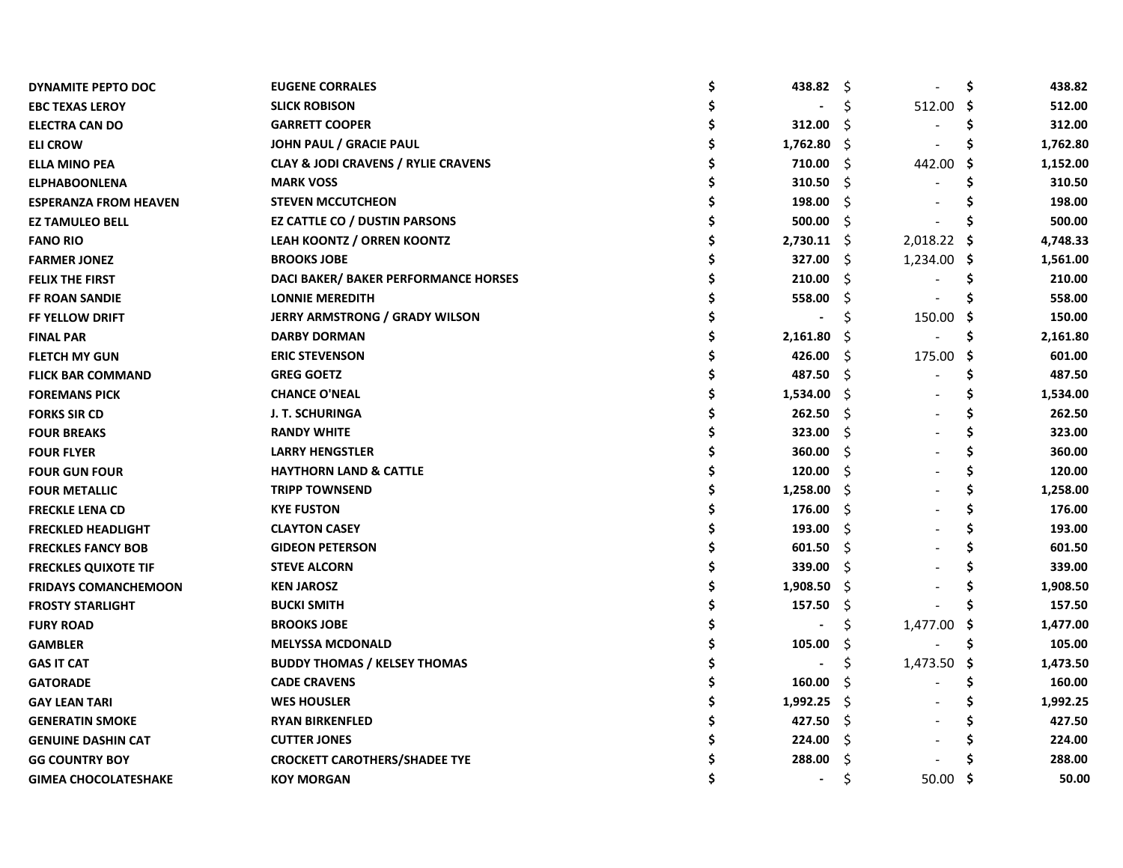| DYNAMITE PEPTO DOC           | <b>EUGENE CORRALES</b>                         | 438.82         | - \$ |             | \$  | 438.82   |
|------------------------------|------------------------------------------------|----------------|------|-------------|-----|----------|
| <b>EBC TEXAS LEROY</b>       | <b>SLICK ROBISON</b>                           |                | \$   | 512.00      | -\$ | 512.00   |
| <b>ELECTRA CAN DO</b>        | <b>GARRETT COOPER</b>                          | 312.00         | S    |             | S   | 312.00   |
| <b>ELI CROW</b>              | JOHN PAUL / GRACIE PAUL                        | 1,762.80       | -S   |             |     | 1,762.80 |
| <b>ELLA MINO PEA</b>         | <b>CLAY &amp; JODI CRAVENS / RYLIE CRAVENS</b> | 710.00         | -\$  | 442.00      | .\$ | 1,152.00 |
| <b>ELPHABOONLENA</b>         | <b>MARK VOSS</b>                               | 310.50         | -\$  |             | Ś   | 310.50   |
| <b>ESPERANZA FROM HEAVEN</b> | <b>STEVEN MCCUTCHEON</b>                       | 198.00         | Ŝ    |             |     | 198.00   |
| <b>EZ TAMULEO BELL</b>       | EZ CATTLE CO / DUSTIN PARSONS                  | 500.00         | -\$  |             |     | 500.00   |
| <b>FANO RIO</b>              | <b>LEAH KOONTZ / ORREN KOONTZ</b>              | $2,730.11$ \$  |      | 2,018.22    | - S | 4,748.33 |
| <b>FARMER JONEZ</b>          | <b>BROOKS JOBE</b>                             | 327.00         | -S   | 1,234.00 \$ |     | 1,561.00 |
| <b>FELIX THE FIRST</b>       | DACI BAKER/ BAKER PERFORMANCE HORSES           | 210.00         | S    |             |     | 210.00   |
| <b>FF ROAN SANDIE</b>        | <b>LONNIE MEREDITH</b>                         | 558.00         | S    |             |     | 558.00   |
| <b>FF YELLOW DRIFT</b>       | <b>JERRY ARMSTRONG / GRADY WILSON</b>          |                |      | 150.00      | -S  | 150.00   |
| <b>FINAL PAR</b>             | <b>DARBY DORMAN</b>                            | 2,161.80       | -S   |             |     | 2,161.80 |
| <b>FLETCH MY GUN</b>         | <b>ERIC STEVENSON</b>                          | 426.00         | S    | 175.00      | -S  | 601.00   |
| <b>FLICK BAR COMMAND</b>     | <b>GREG GOETZ</b>                              | 487.50         | -S   |             |     | 487.50   |
| <b>FOREMANS PICK</b>         | <b>CHANCE O'NEAL</b>                           | 1,534.00       | -S   |             |     | 1,534.00 |
| <b>FORKS SIR CD</b>          | J. T. SCHURINGA                                | 262.50         | -Ŝ   |             |     | 262.50   |
| <b>FOUR BREAKS</b>           | <b>RANDY WHITE</b>                             | 323.00         | -S   |             |     | 323.00   |
| <b>FOUR FLYER</b>            | <b>LARRY HENGSTLER</b>                         | 360.00         | -Ŝ   |             |     | 360.00   |
| <b>FOUR GUN FOUR</b>         | <b>HAYTHORN LAND &amp; CATTLE</b>              | 120.00         | -Ŝ   |             |     | 120.00   |
| <b>FOUR METALLIC</b>         | <b>TRIPP TOWNSEND</b>                          | 1,258.00       | - S  |             |     | 1,258.00 |
| <b>FRECKLE LENA CD</b>       | <b>KYE FUSTON</b>                              | 176.00         | -\$  |             | S   | 176.00   |
| <b>FRECKLED HEADLIGHT</b>    | <b>CLAYTON CASEY</b>                           | 193.00         | -Ś   |             | S   | 193.00   |
| <b>FRECKLES FANCY BOB</b>    | <b>GIDEON PETERSON</b>                         | 601.50         | Ŝ    |             |     | 601.50   |
| <b>FRECKLES QUIXOTE TIF</b>  | <b>STEVE ALCORN</b>                            | 339.00         | -\$  |             |     | 339.00   |
| <b>FRIDAYS COMANCHEMOON</b>  | <b>KEN JAROSZ</b>                              | 1,908.50       | -S   |             |     | 1,908.50 |
| <b>FROSTY STARLIGHT</b>      | <b>BUCKI SMITH</b>                             | 157.50         | \$   |             |     | 157.50   |
| <b>FURY ROAD</b>             | <b>BROOKS JOBE</b>                             |                | \$   | 1,477.00    | Ş   | 1,477.00 |
| <b>GAMBLER</b>               | <b>MELYSSA MCDONALD</b>                        | 105.00         | -\$  |             | S   | 105.00   |
| <b>GAS IT CAT</b>            | <b>BUDDY THOMAS / KELSEY THOMAS</b>            |                | \$   | 1,473.50    | -S  | 1,473.50 |
| <b>GATORADE</b>              | <b>CADE CRAVENS</b>                            | 160.00         | Ŝ    |             | S   | 160.00   |
| <b>GAY LEAN TARI</b>         | <b>WES HOUSLER</b>                             | 1,992.25       | -\$  |             |     | 1,992.25 |
| <b>GENERATIN SMOKE</b>       | <b>RYAN BIRKENFLED</b>                         | 427.50         | -\$  |             |     | 427.50   |
| <b>GENUINE DASHIN CAT</b>    | <b>CUTTER JONES</b>                            | 224.00         | Š.   |             |     | 224.00   |
| <b>GG COUNTRY BOY</b>        | <b>CROCKETT CAROTHERS/SHADEE TYE</b>           | 288.00         | \$   |             |     | 288.00   |
| <b>GIMEA CHOCOLATESHAKE</b>  | <b>KOY MORGAN</b>                              | $\blacksquare$ | Ś    | 50.00       | -S  | 50.00    |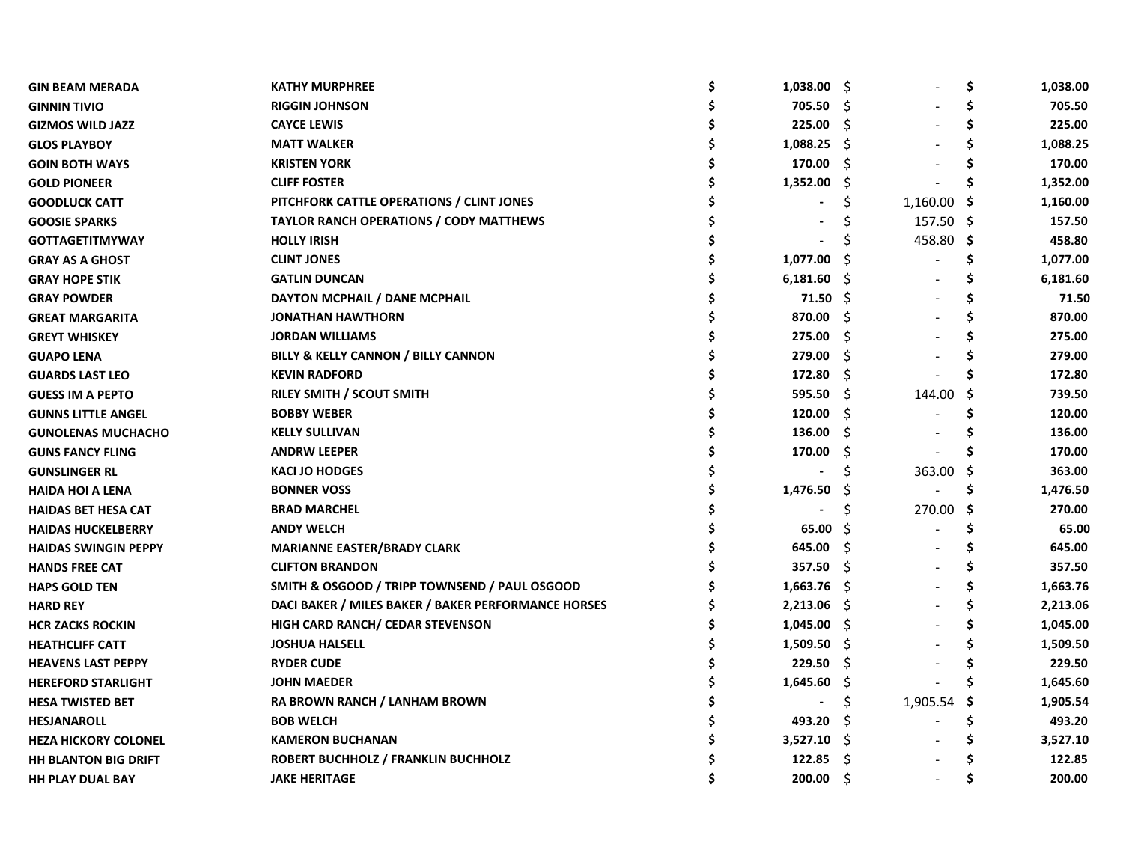| <b>GIN BEAM MERADA</b>      | <b>KATHY MURPHREE</b>                               | 1,038.00       | - S  |           | \$  | 1,038.00 |
|-----------------------------|-----------------------------------------------------|----------------|------|-----------|-----|----------|
| <b>GINNIN TIVIO</b>         | <b>RIGGIN JOHNSON</b>                               | 705.50         | - \$ |           | Ś   | 705.50   |
| <b>GIZMOS WILD JAZZ</b>     | <b>CAYCE LEWIS</b>                                  | 225.00         | Ŝ.   |           | \$  | 225.00   |
| <b>GLOS PLAYBOY</b>         | <b>MATT WALKER</b>                                  | 1,088.25       | -S   |           | \$  | 1,088.25 |
| <b>GOIN BOTH WAYS</b>       | <b>KRISTEN YORK</b>                                 | 170.00         | Ŝ.   |           | S   | 170.00   |
| <b>GOLD PIONEER</b>         | <b>CLIFF FOSTER</b>                                 | 1,352.00       | Ŝ.   |           | S   | 1,352.00 |
| <b>GOODLUCK CATT</b>        | PITCHFORK CATTLE OPERATIONS / CLINT JONES           |                |      | 1,160.00  | -\$ | 1,160.00 |
| <b>GOOSIE SPARKS</b>        | <b>TAYLOR RANCH OPERATIONS / CODY MATTHEWS</b>      |                |      | 157.50 \$ |     | 157.50   |
| <b>GOTTAGETITMYWAY</b>      | <b>HOLLY IRISH</b>                                  |                |      | 458.80    | -S  | 458.80   |
| <b>GRAY AS A GHOST</b>      | <b>CLINT JONES</b>                                  | 1,077.00       | S    |           |     | 1,077.00 |
| <b>GRAY HOPE STIK</b>       | <b>GATLIN DUNCAN</b>                                | 6,181.60       | -S   |           |     | 6,181.60 |
| <b>GRAY POWDER</b>          | DAYTON MCPHAIL / DANE MCPHAIL                       | 71.50          | -Ś   |           |     | 71.50    |
| <b>GREAT MARGARITA</b>      | <b>JONATHAN HAWTHORN</b>                            | 870.00         | -S   |           |     | 870.00   |
| <b>GREYT WHISKEY</b>        | <b>JORDAN WILLIAMS</b>                              | 275.00         | .S   |           |     | 275.00   |
| <b>GUAPO LENA</b>           | BILLY & KELLY CANNON / BILLY CANNON                 | 279.00         | Ŝ.   |           |     | 279.00   |
| <b>GUARDS LAST LEO</b>      | <b>KEVIN RADFORD</b>                                | 172.80         | -S   |           |     | 172.80   |
| <b>GUESS IM A PEPTO</b>     | RILEY SMITH / SCOUT SMITH                           | 595.50         | - Ś  | 144.00    | S   | 739.50   |
| <b>GUNNS LITTLE ANGEL</b>   | <b>BOBBY WEBER</b>                                  | 120.00         | -Ŝ   |           | S   | 120.00   |
| <b>GUNOLENAS MUCHACHO</b>   | <b>KELLY SULLIVAN</b>                               | 136.00         | Ŝ.   |           |     | 136.00   |
| <b>GUNS FANCY FLING</b>     | <b>ANDRW LEEPER</b>                                 | 170.00         | \$.  |           |     | 170.00   |
| <b>GUNSLINGER RL</b>        | <b>KACI JO HODGES</b>                               |                | Ś    | 363.00    | S   | 363.00   |
| <b>HAIDA HOI A LENA</b>     | <b>BONNER VOSS</b>                                  | 1,476.50       | Ş    |           | \$  | 1,476.50 |
| <b>HAIDAS BET HESA CAT</b>  | <b>BRAD MARCHEL</b>                                 |                | \$   | 270.00    | -S  | 270.00   |
| <b>HAIDAS HUCKELBERRY</b>   | <b>ANDY WELCH</b>                                   | 65.00          | Ś    |           | \$  | 65.00    |
| <b>HAIDAS SWINGIN PEPPY</b> | <b>MARIANNE EASTER/BRADY CLARK</b>                  | 645.00         | Ŝ.   |           |     | 645.00   |
| <b>HANDS FREE CAT</b>       | <b>CLIFTON BRANDON</b>                              | 357.50         | Ŝ.   |           |     | 357.50   |
| <b>HAPS GOLD TEN</b>        | SMITH & OSGOOD / TRIPP TOWNSEND / PAUL OSGOOD       | 1,663.76       | -S   |           |     | 1,663.76 |
| <b>HARD REY</b>             | DACI BAKER / MILES BAKER / BAKER PERFORMANCE HORSES | 2,213.06       | - \$ |           |     | 2,213.06 |
| <b>HCR ZACKS ROCKIN</b>     | <b>HIGH CARD RANCH/ CEDAR STEVENSON</b>             | 1,045.00       | Ŝ.   |           |     | 1,045.00 |
| <b>HEATHCLIFF CATT</b>      | <b>JOSHUA HALSELL</b>                               | 1,509.50       | -S   |           |     | 1,509.50 |
| <b>HEAVENS LAST PEPPY</b>   | <b>RYDER CUDE</b>                                   | 229.50         | -\$  |           |     | 229.50   |
| <b>HEREFORD STARLIGHT</b>   | <b>JOHN MAEDER</b>                                  | 1,645.60       | -\$  |           |     | 1,645.60 |
| <b>HESA TWISTED BET</b>     | RA BROWN RANCH / LANHAM BROWN                       | $\blacksquare$ | \$   | 1,905.54  | -S  | 1,905.54 |
| <b>HESJANAROLL</b>          | <b>BOB WELCH</b>                                    | 493.20         | -S   |           | \$  | 493.20   |
| <b>HEZA HICKORY COLONEL</b> | <b>KAMERON BUCHANAN</b>                             | 3,527.10       | -S   |           |     | 3,527.10 |
| <b>HH BLANTON BIG DRIFT</b> | <b>ROBERT BUCHHOLZ / FRANKLIN BUCHHOLZ</b>          | 122.85         | Ŝ.   |           |     | 122.85   |
| <b>HH PLAY DUAL BAY</b>     | <b>JAKE HERITAGE</b>                                | 200.00         | Ŝ.   |           |     | 200.00   |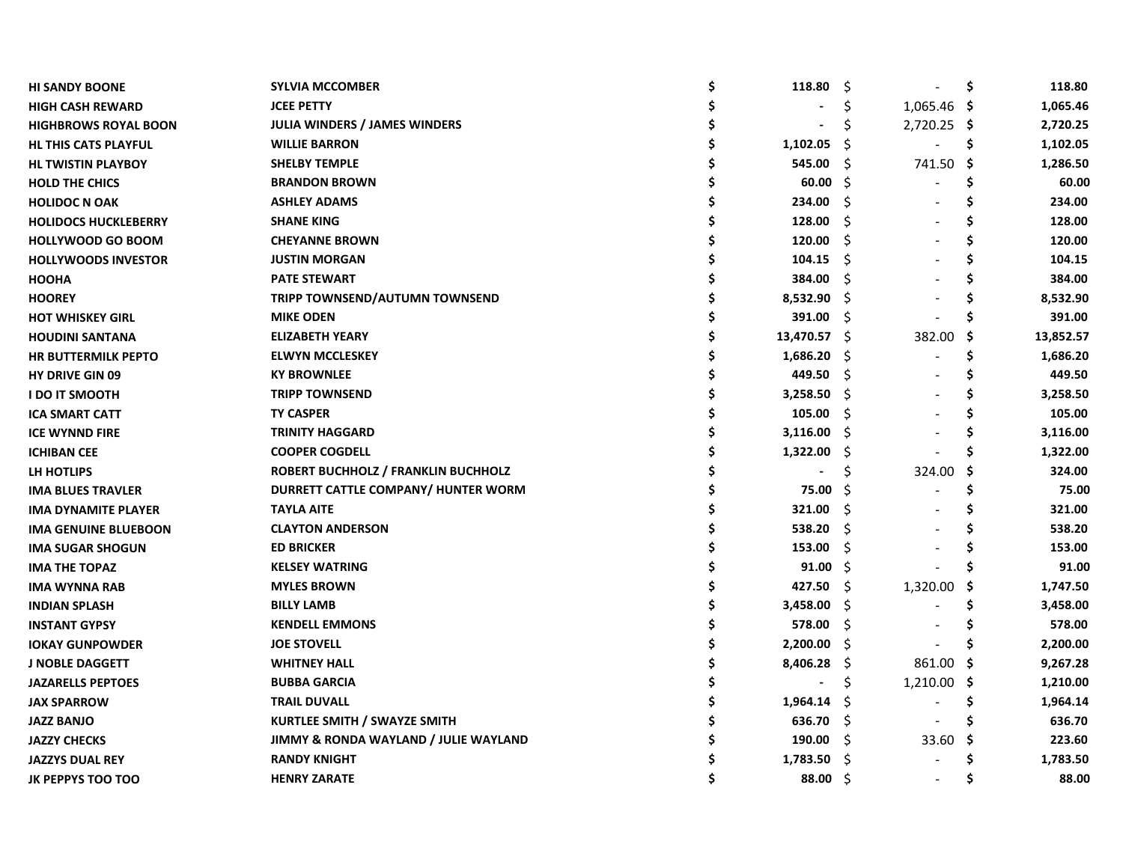| <b>HI SANDY BOONE</b>       | <b>SYLVIA MCCOMBER</b>                | 118.80         | -\$ |               | \$  | 118.80    |
|-----------------------------|---------------------------------------|----------------|-----|---------------|-----|-----------|
| <b>HIGH CASH REWARD</b>     | <b>JCEE PETTY</b>                     |                |     | $1,065.46$ \$ |     | 1,065.46  |
| <b>HIGHBROWS ROYAL BOON</b> | <b>JULIA WINDERS / JAMES WINDERS</b>  |                | S   | 2,720.25 \$   |     | 2,720.25  |
| HL THIS CATS PLAYFUL        | <b>WILLIE BARRON</b>                  | 1,102.05       | -S  |               | \$. | 1,102.05  |
| <b>HL TWISTIN PLAYBOY</b>   | <b>SHELBY TEMPLE</b>                  | 545.00         | -S  | 741.50        | -\$ | 1,286.50  |
| <b>HOLD THE CHICS</b>       | <b>BRANDON BROWN</b>                  | 60.00          | -S  |               | \$  | 60.00     |
| <b>HOLIDOC N OAK</b>        | <b>ASHLEY ADAMS</b>                   | 234.00         | Ŝ   |               | \$  | 234.00    |
| <b>HOLIDOCS HUCKLEBERRY</b> | <b>SHANE KING</b>                     | 128.00         | Ŝ   |               |     | 128.00    |
| <b>HOLLYWOOD GO BOOM</b>    | <b>CHEYANNE BROWN</b>                 | 120.00         | Ŝ.  |               |     | 120.00    |
| <b>HOLLYWOODS INVESTOR</b>  | <b>JUSTIN MORGAN</b>                  | 104.15         | -S  |               |     | 104.15    |
| <b>HOOHA</b>                | <b>PATE STEWART</b>                   | 384.00         | Ŝ.  |               |     | 384.00    |
| <b>HOOREY</b>               | <b>TRIPP TOWNSEND/AUTUMN TOWNSEND</b> | 8,532.90       | -Ŝ  |               |     | 8,532.90  |
| <b>HOT WHISKEY GIRL</b>     | <b>MIKE ODEN</b>                      | 391.00         | -\$ |               |     | 391.00    |
| <b>HOUDINI SANTANA</b>      | <b>ELIZABETH YEARY</b>                | 13,470.57 \$   |     | 382.00        | -S  | 13,852.57 |
| <b>HR BUTTERMILK PEPTO</b>  | <b>ELWYN MCCLESKEY</b>                | 1,686.20       | - S |               | Ś   | 1,686.20  |
| <b>HY DRIVE GIN 09</b>      | <b>KY BROWNLEE</b>                    | 449.50         | -S  |               | S   | 449.50    |
| <b>I DO IT SMOOTH</b>       | <b>TRIPP TOWNSEND</b>                 | 3,258.50       | -S  |               |     | 3,258.50  |
| <b>ICA SMART CATT</b>       | <b>TY CASPER</b>                      | 105.00         | -\$ |               |     | 105.00    |
| <b>ICE WYNND FIRE</b>       | <b>TRINITY HAGGARD</b>                | 3,116.00       | - Ś |               | S   | 3,116.00  |
| <b>ICHIBAN CEE</b>          | <b>COOPER COGDELL</b>                 | 1,322.00       | \$. |               | Ś   | 1,322.00  |
| LH HOTLIPS                  | ROBERT BUCHHOLZ / FRANKLIN BUCHHOLZ   |                | \$  | 324.00        | \$  | 324.00    |
| <b>IMA BLUES TRAVLER</b>    | DURRETT CATTLE COMPANY/ HUNTER WORM   | 75.00          | S   |               | \$  | 75.00     |
| <b>IMA DYNAMITE PLAYER</b>  | <b>TAYLA AITE</b>                     | 321.00         | Ŝ.  |               | Ś   | 321.00    |
| <b>IMA GENUINE BLUEBOON</b> | <b>CLAYTON ANDERSON</b>               | 538.20         | Ŝ.  |               |     | 538.20    |
| <b>IMA SUGAR SHOGUN</b>     | <b>ED BRICKER</b>                     | 153.00         | \$  |               |     | 153.00    |
| <b>IMA THE TOPAZ</b>        | <b>KELSEY WATRING</b>                 | 91.00          | Ŝ.  |               |     | 91.00     |
| IMA WYNNA RAB               | <b>MYLES BROWN</b>                    | 427.50         | Ŝ.  | 1,320.00      | S   | 1,747.50  |
| <b>INDIAN SPLASH</b>        | <b>BILLY LAMB</b>                     | 3,458.00       | -\$ |               |     | 3,458.00  |
| <b>INSTANT GYPSY</b>        | <b>KENDELL EMMONS</b>                 | 578.00         | Ŝ.  |               |     | 578.00    |
| <b>IOKAY GUNPOWDER</b>      | <b>JOE STOVELL</b>                    | 2,200.00       | -S  |               |     | 2,200.00  |
| <b>J NOBLE DAGGETT</b>      | <b>WHITNEY HALL</b>                   | 8,406.28       | Ş   | 861.00 \$     |     | 9,267.28  |
| <b>JAZARELLS PEPTOES</b>    | <b>BUBBA GARCIA</b>                   | $\blacksquare$ | \$  | $1,210.00$ \$ |     | 1,210.00  |
| <b>JAX SPARROW</b>          | <b>TRAIL DUVALL</b>                   | 1,964.14       | -S  |               | \$. | 1,964.14  |
| <b>JAZZ BANJO</b>           | <b>KURTLEE SMITH / SWAYZE SMITH</b>   | 636.70         | -S  |               |     | 636.70    |
| <b>JAZZY CHECKS</b>         | JIMMY & RONDA WAYLAND / JULIE WAYLAND | 190.00         | -S  | 33.60         | -S  | 223.60    |
| <b>JAZZYS DUAL REY</b>      | <b>RANDY KNIGHT</b>                   | 1,783.50       | S   |               |     | 1,783.50  |
| <b>JK PEPPYS TOO TOO</b>    | <b>HENRY ZARATE</b>                   | 88.00          | - Ś |               | S   | 88.00     |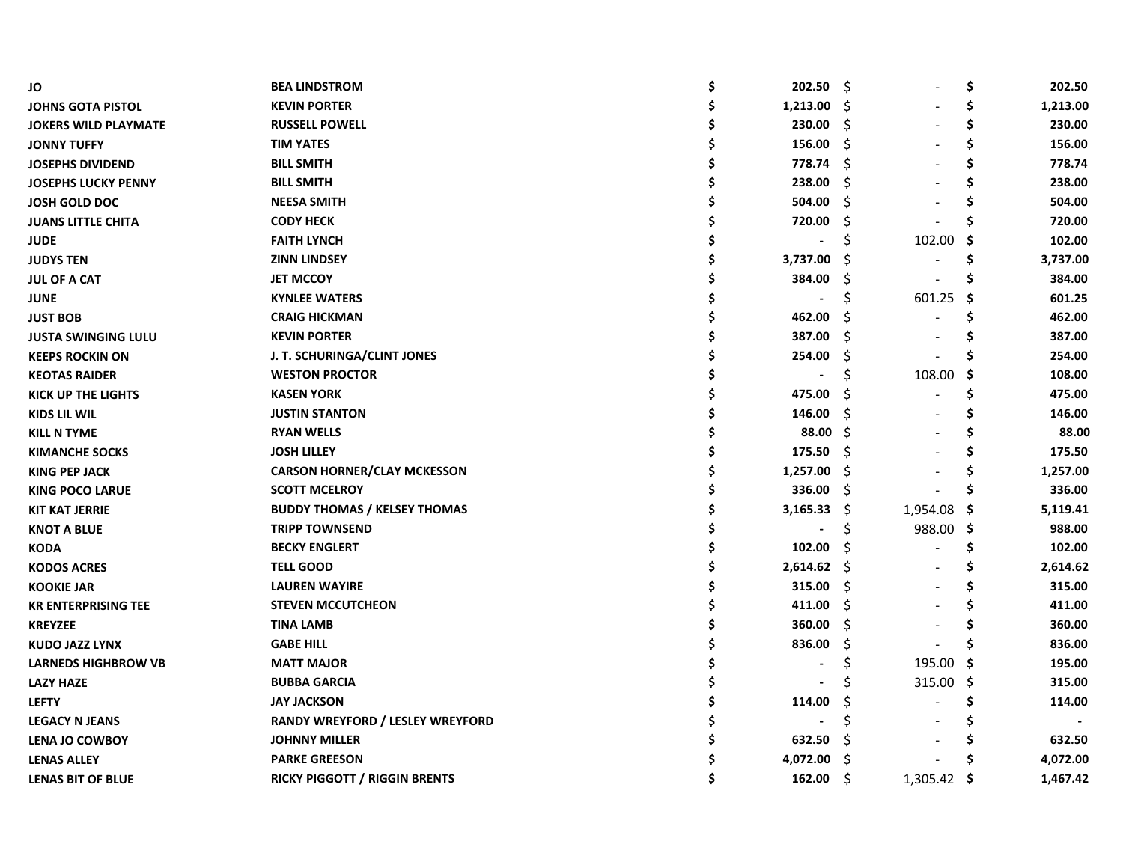| JO                          | <b>BEA LINDSTROM</b>                 | \$<br>202.50 | S.  |             | \$  | 202.50   |
|-----------------------------|--------------------------------------|--------------|-----|-------------|-----|----------|
| <b>JOHNS GOTA PISTOL</b>    | <b>KEVIN PORTER</b>                  | 1,213.00     | -Ś  |             | \$  | 1,213.00 |
| <b>JOKERS WILD PLAYMATE</b> | <b>RUSSELL POWELL</b>                | 230.00       | -Ŝ  |             | \$  | 230.00   |
| <b>JONNY TUFFY</b>          | <b>TIM YATES</b>                     | 156.00       | Ŝ   |             | \$  | 156.00   |
| <b>JOSEPHS DIVIDEND</b>     | <b>BILL SMITH</b>                    | 778.74       | Ŝ   |             | \$  | 778.74   |
| <b>JOSEPHS LUCKY PENNY</b>  | <b>BILL SMITH</b>                    | 238.00       | S   |             | S   | 238.00   |
| <b>JOSH GOLD DOC</b>        | <b>NEESA SMITH</b>                   | 504.00       | Ś   |             |     | 504.00   |
| <b>JUANS LITTLE CHITA</b>   | <b>CODY HECK</b>                     | 720.00       | S   |             |     | 720.00   |
| <b>JUDE</b>                 | <b>FAITH LYNCH</b>                   |              | S   | 102.00      | S   | 102.00   |
| <b>JUDYS TEN</b>            | <b>ZINN LINDSEY</b>                  | 3,737.00     | .Ş  |             |     | 3,737.00 |
| <b>JUL OF A CAT</b>         | <b>JET MCCOY</b>                     | 384.00       | S   |             |     | 384.00   |
| <b>JUNE</b>                 | <b>KYNLEE WATERS</b>                 |              | Ś   | 601.25      | .s  | 601.25   |
| <b>JUST BOB</b>             | <b>CRAIG HICKMAN</b>                 | 462.00       | S   |             | S   | 462.00   |
| <b>JUSTA SWINGING LULU</b>  | <b>KEVIN PORTER</b>                  | 387.00       | S   |             | S   | 387.00   |
| <b>KEEPS ROCKIN ON</b>      | J. T. SCHURINGA/CLINT JONES          | 254.00       | S   |             |     | 254.00   |
| <b>KEOTAS RAIDER</b>        | <b>WESTON PROCTOR</b>                |              | Ś   | 108.00      | S   | 108.00   |
| <b>KICK UP THE LIGHTS</b>   | <b>KASEN YORK</b>                    | 475.00       | S   |             | \$. | 475.00   |
| <b>KIDS LIL WIL</b>         | <b>JUSTIN STANTON</b>                | 146.00       | \$. |             | Ś   | 146.00   |
| <b>KILL N TYME</b>          | <b>RYAN WELLS</b>                    | 88.00        | Ŝ.  |             | Ś   | 88.00    |
| <b>KIMANCHE SOCKS</b>       | <b>JOSH LILLEY</b>                   | 175.50       | Ŝ.  |             | \$  | 175.50   |
| <b>KING PEP JACK</b>        | <b>CARSON HORNER/CLAY MCKESSON</b>   | 1,257.00     | Ŝ.  |             | \$. | 1,257.00 |
| <b>KING POCO LARUE</b>      | <b>SCOTT MCELROY</b>                 | 336.00       | Ŝ.  |             | Ś   | 336.00   |
| <b>KIT KAT JERRIE</b>       | <b>BUDDY THOMAS / KELSEY THOMAS</b>  | 3,165.33     | Ŝ   | 1,954.08    | Ş   | 5,119.41 |
| <b>KNOT A BLUE</b>          | <b>TRIPP TOWNSEND</b>                |              | Ś   | 988.00      | -\$ | 988.00   |
| <b>KODA</b>                 | <b>BECKY ENGLERT</b>                 | 102.00       | Ś   |             | \$. | 102.00   |
| <b>KODOS ACRES</b>          | <b>TELL GOOD</b>                     | 2,614.62     | -\$ |             | S   | 2,614.62 |
| <b>KOOKIE JAR</b>           | <b>LAUREN WAYIRE</b>                 | 315.00       | \$  |             |     | 315.00   |
| <b>KR ENTERPRISING TEE</b>  | <b>STEVEN MCCUTCHEON</b>             | 411.00       | \$. |             |     | 411.00   |
| <b>KREYZEE</b>              | <b>TINA LAMB</b>                     | 360.00       | \$  |             |     | 360.00   |
| <b>KUDO JAZZ LYNX</b>       | <b>GABE HILL</b>                     | 836.00       | \$  |             |     | 836.00   |
| <b>LARNEDS HIGHBROW VB</b>  | <b>MATT MAJOR</b>                    |              | \$  | 195.00 \$   |     | 195.00   |
| <b>LAZY HAZE</b>            | <b>BUBBA GARCIA</b>                  |              |     | 315.00 \$   |     | 315.00   |
| <b>LEFTY</b>                | <b>JAY JACKSON</b>                   | 114.00       | S   |             | \$. | 114.00   |
| <b>LEGACY N JEANS</b>       | RANDY WREYFORD / LESLEY WREYFORD     |              | Ś   |             |     |          |
| <b>LENA JO COWBOY</b>       | <b>JOHNNY MILLER</b>                 | 632.50       | S   |             |     | 632.50   |
| <b>LENAS ALLEY</b>          | <b>PARKE GREESON</b>                 | 4,072.00     | \$  |             |     | 4,072.00 |
| <b>LENAS BIT OF BLUE</b>    | <b>RICKY PIGGOTT / RIGGIN BRENTS</b> | 162.00       | Ŝ.  | 1,305.42 \$ |     | 1,467.42 |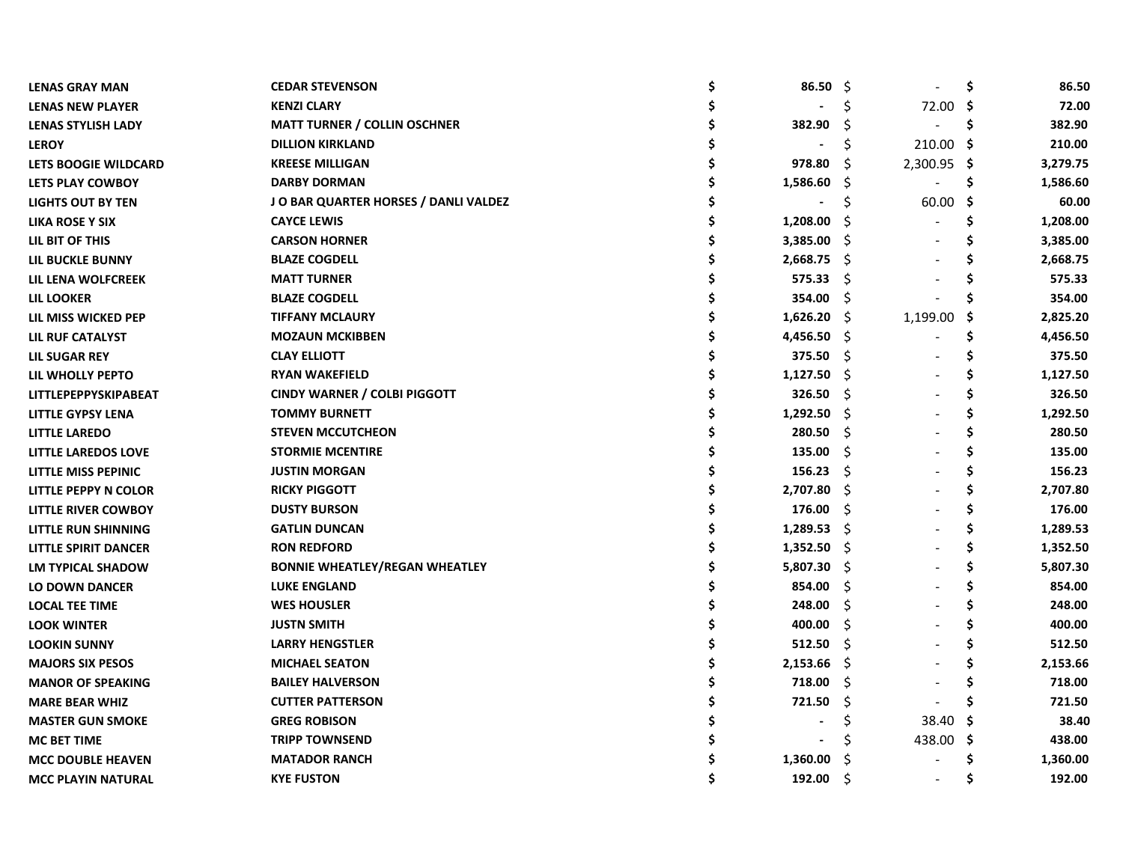| <b>LENAS GRAY MAN</b>       | <b>CEDAR STEVENSON</b>                | 86.50       | - \$ |             | \$  | 86.50    |
|-----------------------------|---------------------------------------|-------------|------|-------------|-----|----------|
| <b>LENAS NEW PLAYER</b>     | <b>KENZI CLARY</b>                    |             |      | 72.00       | -S  | 72.00    |
| <b>LENAS STYLISH LADY</b>   | <b>MATT TURNER / COLLIN OSCHNER</b>   | 382.90      | S    |             | \$. | 382.90   |
| <b>LEROY</b>                | <b>DILLION KIRKLAND</b>               |             | Ś    | 210.00      | -\$ | 210.00   |
| LETS BOOGIE WILDCARD        | <b>KREESE MILLIGAN</b>                | 978.80      | S    | 2,300.95 \$ |     | 3,279.75 |
| LETS PLAY COWBOY            | <b>DARBY DORMAN</b>                   | 1,586.60    | -S   |             | S   | 1,586.60 |
| <b>LIGHTS OUT BY TEN</b>    | JO BAR QUARTER HORSES / DANLI VALDEZ  |             |      | 60.00       | -\$ | 60.00    |
| <b>LIKA ROSE Y SIX</b>      | <b>CAYCE LEWIS</b>                    | 1,208.00    | S    |             |     | 1,208.00 |
| LIL BIT OF THIS             | <b>CARSON HORNER</b>                  | 3,385.00    | -S   |             |     | 3,385.00 |
| LIL BUCKLE BUNNY            | <b>BLAZE COGDELL</b>                  | 2,668.75    | - Ş  |             |     | 2,668.75 |
| LIL LENA WOLFCREEK          | <b>MATT TURNER</b>                    | 575.33      | -S   |             |     | 575.33   |
| LIL LOOKER                  | <b>BLAZE COGDELL</b>                  | 354.00      | -\$  |             |     | 354.00   |
| LIL MISS WICKED PEP         | <b>TIFFANY MCLAURY</b>                | 1,626.20    | - \$ | 1,199.00    | -S  | 2,825.20 |
| LIL RUF CATALYST            | <b>MOZAUN MCKIBBEN</b>                | 4,456.50 \$ |      |             | S   | 4,456.50 |
| <b>LIL SUGAR REY</b>        | <b>CLAY ELLIOTT</b>                   | 375.50      | - \$ |             |     | 375.50   |
| LIL WHOLLY PEPTO            | <b>RYAN WAKEFIELD</b>                 | 1,127.50    | - \$ |             |     | 1,127.50 |
| <b>LITTLEPEPPYSKIPABEAT</b> | <b>CINDY WARNER / COLBI PIGGOTT</b>   | 326.50      | -S   |             |     | 326.50   |
| <b>LITTLE GYPSY LENA</b>    | <b>TOMMY BURNETT</b>                  | 1,292.50    | - S  |             | S   | 1,292.50 |
| <b>LITTLE LAREDO</b>        | <b>STEVEN MCCUTCHEON</b>              | 280.50      | -Ŝ   |             | S   | 280.50   |
| <b>LITTLE LAREDOS LOVE</b>  | <b>STORMIE MCENTIRE</b>               | 135.00      | -\$  |             | Ś   | 135.00   |
| LITTLE MISS PEPINIC         | <b>JUSTIN MORGAN</b>                  | 156.23      | -S   |             | S   | 156.23   |
| LITTLE PEPPY N COLOR        | <b>RICKY PIGGOTT</b>                  | 2,707.80    | -\$  |             | S   | 2,707.80 |
| LITTLE RIVER COWBOY         | <b>DUSTY BURSON</b>                   | 176.00      | -Ś   |             | Ś   | 176.00   |
| LITTLE RUN SHINNING         | <b>GATLIN DUNCAN</b>                  | 1,289.53    | -\$  |             |     | 1,289.53 |
| LITTLE SPIRIT DANCER        | <b>RON REDFORD</b>                    | 1,352.50    | -S   |             | S   | 1,352.50 |
| <b>LM TYPICAL SHADOW</b>    | <b>BONNIE WHEATLEY/REGAN WHEATLEY</b> | 5,807.30    | -\$  |             | S   | 5,807.30 |
| <b>LO DOWN DANCER</b>       | <b>LUKE ENGLAND</b>                   | 854.00      | \$.  |             |     | 854.00   |
| <b>LOCAL TEE TIME</b>       | <b>WES HOUSLER</b>                    | 248.00      | \$.  |             |     | 248.00   |
| <b>LOOK WINTER</b>          | <b>JUSTN SMITH</b>                    | 400.00      | \$.  |             |     | 400.00   |
| <b>LOOKIN SUNNY</b>         | <b>LARRY HENGSTLER</b>                | 512.50      | S    |             |     | 512.50   |
| <b>MAJORS SIX PESOS</b>     | <b>MICHAEL SEATON</b>                 | 2,153.66    | -\$  |             |     | 2,153.66 |
| <b>MANOR OF SPEAKING</b>    | <b>BAILEY HALVERSON</b>               | 718.00      | -\$  |             |     | 718.00   |
| <b>MARE BEAR WHIZ</b>       | <b>CUTTER PATTERSON</b>               | 721.50      | \$.  |             |     | 721.50   |
| <b>MASTER GUN SMOKE</b>     | <b>GREG ROBISON</b>                   |             | S    | 38.40       |     | 38.40    |
| <b>MC BET TIME</b>          | <b>TRIPP TOWNSEND</b>                 |             | S    | 438.00      | -S  | 438.00   |
| <b>MCC DOUBLE HEAVEN</b>    | <b>MATADOR RANCH</b>                  | 1,360.00    | S    |             |     | 1,360.00 |
| <b>MCC PLAYIN NATURAL</b>   | <b>KYE FUSTON</b>                     | 192.00      | Ŝ    |             | S   | 192.00   |
|                             |                                       |             |      |             |     |          |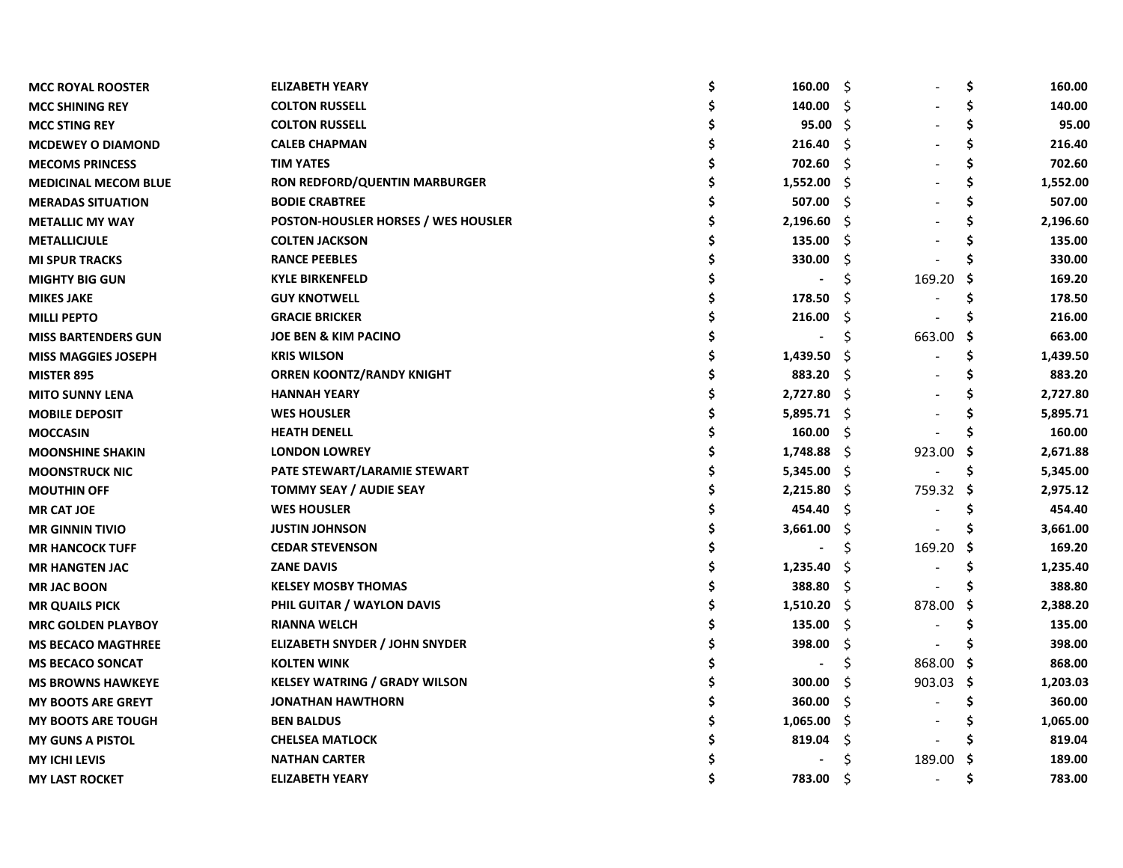| <b>MCC ROYAL ROOSTER</b>    | <b>ELIZABETH YEARY</b>                     | 160.00                   | -\$ |           | \$       | 160.00   |
|-----------------------------|--------------------------------------------|--------------------------|-----|-----------|----------|----------|
| <b>MCC SHINING REY</b>      | <b>COLTON RUSSELL</b>                      | 140.00                   | Ŝ   |           | \$       | 140.00   |
| <b>MCC STING REY</b>        | <b>COLTON RUSSELL</b>                      | $95.00 \quad \text{S}$   |     |           | \$       | 95.00    |
| <b>MCDEWEY O DIAMOND</b>    | <b>CALEB CHAPMAN</b>                       | 216.40                   | -S  |           | \$       | 216.40   |
| <b>MECOMS PRINCESS</b>      | <b>TIM YATES</b>                           | 702.60                   | Ŝ   |           | \$       | 702.60   |
| <b>MEDICINAL MECOM BLUE</b> | <b>RON REDFORD/QUENTIN MARBURGER</b>       | 1,552.00                 | Ŝ.  |           | \$       | 1,552.00 |
| <b>MERADAS SITUATION</b>    | <b>BODIE CRABTREE</b>                      | 507.00                   | Ŝ   |           | \$       | 507.00   |
| <b>METALLIC MY WAY</b>      | <b>POSTON-HOUSLER HORSES / WES HOUSLER</b> | 2,196.60                 | S   |           | \$       | 2,196.60 |
| <b>METALLICJULE</b>         | <b>COLTEN JACKSON</b>                      | 135.00                   | Ŝ   |           | Ś        | 135.00   |
| <b>MI SPUR TRACKS</b>       | <b>RANCE PEEBLES</b>                       | 330.00                   | Ś   |           |          | 330.00   |
| <b>MIGHTY BIG GUN</b>       | <b>KYLE BIRKENFELD</b>                     |                          | S   | 169.20    | <b>S</b> | 169.20   |
| <b>MIKES JAKE</b>           | <b>GUY KNOTWELL</b>                        | 178.50                   |     |           |          | 178.50   |
| <b>MILLI PEPTO</b>          | <b>GRACIE BRICKER</b>                      | 216.00                   | Ś   |           |          | 216.00   |
| <b>MISS BARTENDERS GUN</b>  | JOE BEN & KIM PACINO                       |                          | S   | 663.00    | -S       | 663.00   |
| <b>MISS MAGGIES JOSEPH</b>  | <b>KRIS WILSON</b>                         | 1,439.50                 | S   |           | \$       | 1,439.50 |
| <b>MISTER 895</b>           | <b>ORREN KOONTZ/RANDY KNIGHT</b>           | 883.20                   | Ŝ   |           | \$       | 883.20   |
| <b>MITO SUNNY LENA</b>      | <b>HANNAH YEARY</b>                        | 2,727.80                 | -S  |           |          | 2,727.80 |
| <b>MOBILE DEPOSIT</b>       | <b>WES HOUSLER</b>                         | 5,895.71                 | - S |           |          | 5,895.71 |
| <b>MOCCASIN</b>             | <b>HEATH DENELL</b>                        | 160.00                   | Ŝ   |           |          | 160.00   |
| <b>MOONSHINE SHAKIN</b>     | <b>LONDON LOWREY</b>                       | 1,748.88                 | -\$ | 923.00    | -\$      | 2,671.88 |
| <b>MOONSTRUCK NIC</b>       | PATE STEWART/LARAMIE STEWART               | 5,345.00                 | -\$ |           | \$,      | 5,345.00 |
| <b>MOUTHIN OFF</b>          | <b>TOMMY SEAY / AUDIE SEAY</b>             | 2,215.80                 | -\$ | 759.32    | -\$      | 2,975.12 |
| <b>MR CAT JOE</b>           | <b>WES HOUSLER</b>                         | 454.40                   | Ŝ.  |           | \$       | 454.40   |
| <b>MR GINNIN TIVIO</b>      | <b>JUSTIN JOHNSON</b>                      | 3,661.00                 | \$  |           | \$.      | 3,661.00 |
| <b>MR HANCOCK TUFF</b>      | <b>CEDAR STEVENSON</b>                     |                          | Ś   | 169.20    | Ş        | 169.20   |
| <b>MR HANGTEN JAC</b>       | <b>ZANE DAVIS</b>                          | 1,235.40                 | Ś   |           | \$.      | 1,235.40 |
| <b>MR JAC BOON</b>          | <b>KELSEY MOSBY THOMAS</b>                 | 388.80                   | Ŝ.  |           | S        | 388.80   |
| <b>MR QUAILS PICK</b>       | PHIL GUITAR / WAYLON DAVIS                 | 1,510.20                 | -\$ | 878.00    | -S       | 2,388.20 |
| <b>MRC GOLDEN PLAYBOY</b>   | <b>RIANNA WELCH</b>                        | 135.00                   | \$  |           | S        | 135.00   |
| <b>MS BECACO MAGTHREE</b>   | <b>ELIZABETH SNYDER / JOHN SNYDER</b>      | 398.00                   | \$, |           |          | 398.00   |
| <b>MS BECACO SONCAT</b>     | <b>KOLTEN WINK</b>                         | $\overline{\phantom{a}}$ | \$  | 868.00 \$ |          | 868.00   |
| <b>MS BROWNS HAWKEYE</b>    | <b>KELSEY WATRING / GRADY WILSON</b>       | 300.00                   | Ŝ   | 903.03    | - \$     | 1,203.03 |
| <b>MY BOOTS ARE GREYT</b>   | <b>JONATHAN HAWTHORN</b>                   | 360.00                   | Ŝ.  |           | \$.      | 360.00   |
| <b>MY BOOTS ARE TOUGH</b>   | <b>BEN BALDUS</b>                          | 1,065.00                 | S   |           | S        | 1,065.00 |
| <b>MY GUNS A PISTOL</b>     | <b>CHELSEA MATLOCK</b>                     | 819.04                   | \$. |           | S        | 819.04   |
| <b>MY ICHI LEVIS</b>        | <b>NATHAN CARTER</b>                       |                          | S   | 189.00 \$ |          | 189.00   |
| <b>MY LAST ROCKET</b>       | <b>ELIZABETH YEARY</b>                     | 783.00                   | Ś   |           | Ś        | 783.00   |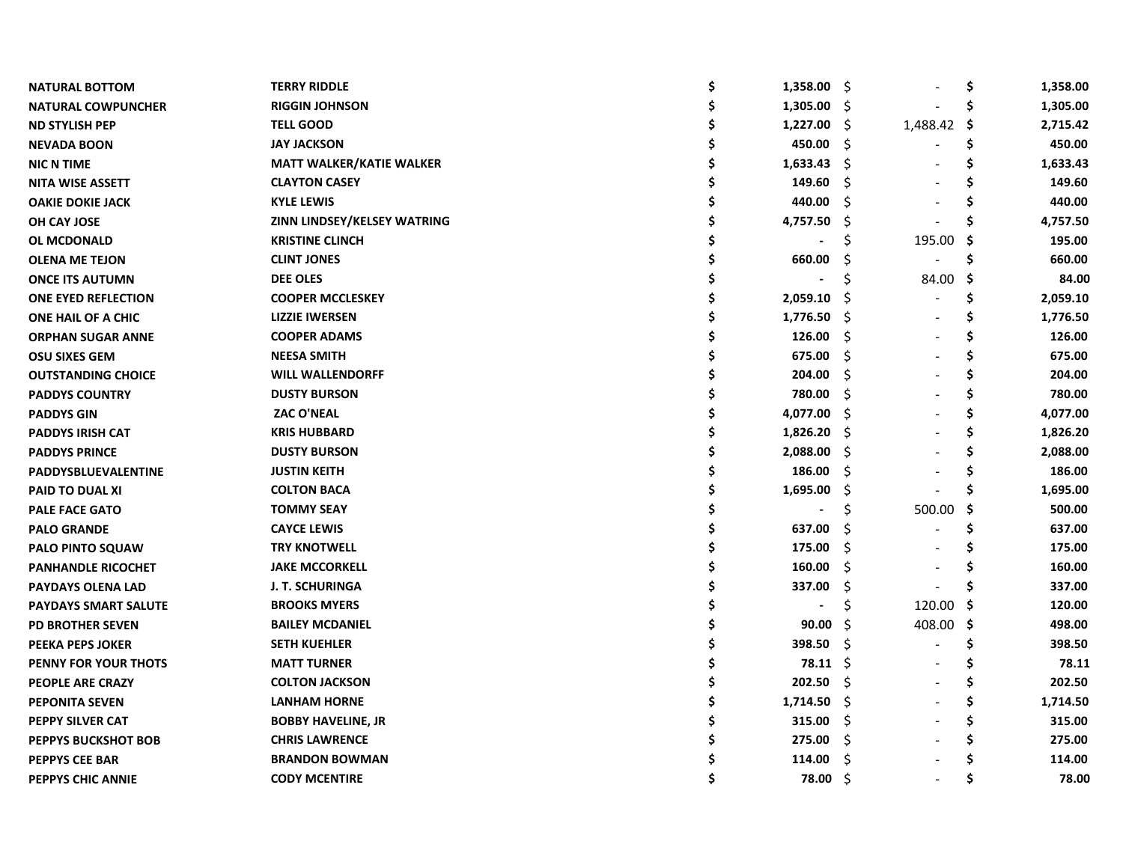| <b>NATURAL BOTTOM</b>       | <b>TERRY RIDDLE</b>                | \$<br>1,358.00 | -\$ |          | \$  | 1,358.00 |
|-----------------------------|------------------------------------|----------------|-----|----------|-----|----------|
| <b>NATURAL COWPUNCHER</b>   | <b>RIGGIN JOHNSON</b>              | 1,305.00       | -\$ |          |     | 1,305.00 |
| <b>ND STYLISH PEP</b>       | <b>TELL GOOD</b>                   | 1,227.00       | -\$ | 1,488.42 | -\$ | 2,715.42 |
| <b>NEVADA BOON</b>          | <b>JAY JACKSON</b>                 | 450.00         | Ŝ.  |          |     | 450.00   |
| <b>NIC N TIME</b>           | <b>MATT WALKER/KATIE WALKER</b>    | 1,633.43       | -S  |          | S   | 1,633.43 |
| <b>NITA WISE ASSETT</b>     | <b>CLAYTON CASEY</b>               | 149.60         | S   |          |     | 149.60   |
| <b>OAKIE DOKIE JACK</b>     | <b>KYLE LEWIS</b>                  | 440.00         | Ś   |          |     | 440.00   |
| OH CAY JOSE                 | <b>ZINN LINDSEY/KELSEY WATRING</b> | 4,757.50       | S   |          |     | 4,757.50 |
| <b>OL MCDONALD</b>          | <b>KRISTINE CLINCH</b>             |                |     | 195.00   | -S  | 195.00   |
| <b>OLENA ME TEJON</b>       | <b>CLINT JONES</b>                 | 660.00         |     |          |     | 660.00   |
| <b>ONCE ITS AUTUMN</b>      | <b>DEE OLES</b>                    |                |     | 84.00    | -\$ | 84.00    |
| <b>ONE EYED REFLECTION</b>  | <b>COOPER MCCLESKEY</b>            | 2,059.10       | S   |          | \$  | 2,059.10 |
| ONE HAIL OF A CHIC          | <b>LIZZIE IWERSEN</b>              | 1,776.50       | -S  |          | \$  | 1,776.50 |
| <b>ORPHAN SUGAR ANNE</b>    | <b>COOPER ADAMS</b>                | 126.00         | S   |          | S   | 126.00   |
| <b>OSU SIXES GEM</b>        | <b>NEESA SMITH</b>                 | 675.00         | Ŝ   |          | Ś   | 675.00   |
| <b>OUTSTANDING CHOICE</b>   | <b>WILL WALLENDORFF</b>            | 204.00         | S   |          | S   | 204.00   |
| <b>PADDYS COUNTRY</b>       | <b>DUSTY BURSON</b>                | 780.00         | S   |          | S   | 780.00   |
| <b>PADDYS GIN</b>           | <b>ZAC O'NEAL</b>                  | 4,077.00       | Ŝ.  |          | S   | 4,077.00 |
| <b>PADDYS IRISH CAT</b>     | <b>KRIS HUBBARD</b>                | 1,826.20       | Ŝ.  |          | \$  | 1,826.20 |
| <b>PADDYS PRINCE</b>        | <b>DUSTY BURSON</b>                | 2,088.00       | \$  |          | \$  | 2,088.00 |
| PADDYSBLUEVALENTINE         | <b>JUSTIN KEITH</b>                | 186.00         | \$  |          | \$  | 186.00   |
| PAID TO DUAL XI             | <b>COLTON BACA</b>                 | 1,695.00       | -Ş  |          | S   | 1,695.00 |
| <b>PALE FACE GATO</b>       | <b>TOMMY SEAY</b>                  |                | Ś   | 500.00   | \$. | 500.00   |
| <b>PALO GRANDE</b>          | <b>CAYCE LEWIS</b>                 | 637.00         | Ś   |          | Ś   | 637.00   |
| <b>PALO PINTO SQUAW</b>     | <b>TRY KNOTWELL</b>                | 175.00         | Ś   |          |     | 175.00   |
| <b>PANHANDLE RICOCHET</b>   | <b>JAKE MCCORKELL</b>              | 160.00         | S   |          |     | 160.00   |
| <b>PAYDAYS OLENA LAD</b>    | <b>J. T. SCHURINGA</b>             | 337.00         | \$  |          |     | 337.00   |
| <b>PAYDAYS SMART SALUTE</b> | <b>BROOKS MYERS</b>                |                | \$  | 120.00   | -S  | 120.00   |
| <b>PD BROTHER SEVEN</b>     | <b>BAILEY MCDANIEL</b>             | 90.00          | \$  | 408.00   | -\$ | 498.00   |
| PEEKA PEPS JOKER            | <b>SETH KUEHLER</b>                | 398.50         | \$. |          | \$  | 398.50   |
| <b>PENNY FOR YOUR THOTS</b> | <b>MATT TURNER</b>                 | 78.11          | -\$ |          | Ś   | 78.11    |
| <b>PEOPLE ARE CRAZY</b>     | <b>COLTON JACKSON</b>              | 202.50         | Ŝ.  |          | Ś   | 202.50   |
| <b>PEPONITA SEVEN</b>       | <b>LANHAM HORNE</b>                | 1,714.50       | -S  |          | \$  | 1,714.50 |
| <b>PEPPY SILVER CAT</b>     | <b>BOBBY HAVELINE, JR</b>          | 315.00         | -\$ |          | S   | 315.00   |
| <b>PEPPYS BUCKSHOT BOB</b>  | <b>CHRIS LAWRENCE</b>              | 275.00         | -\$ |          | Ś   | 275.00   |
| <b>PEPPYS CEE BAR</b>       | <b>BRANDON BOWMAN</b>              | 114.00         | \$  |          |     | 114.00   |
| PEPPYS CHIC ANNIE           | <b>CODY MCENTIRE</b>               | 78.00          | Ŝ.  |          | Ś   | 78.00    |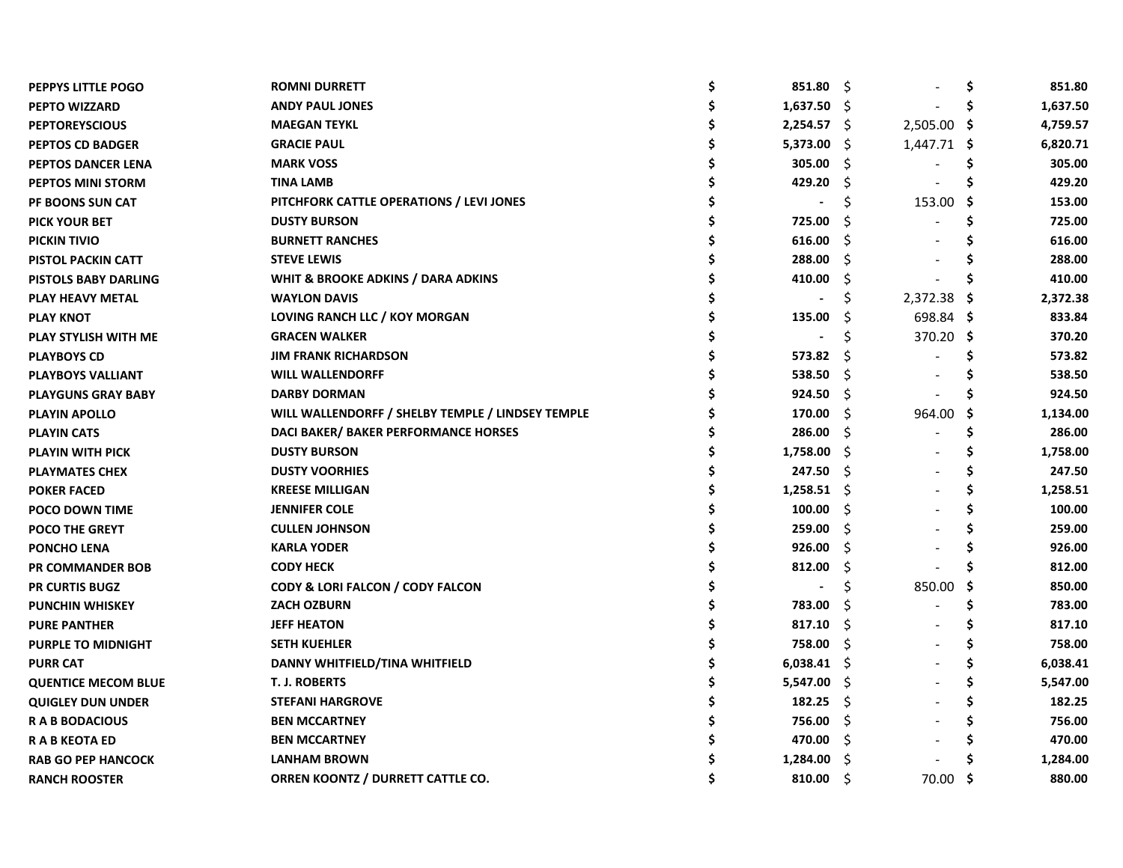| PEPPYS LITTLE POGO          | <b>ROMNI DURRETT</b>                              | S | 851.80        | - \$ | $\blacksquare$ | \$. | 851.80   |
|-----------------------------|---------------------------------------------------|---|---------------|------|----------------|-----|----------|
| <b>PEPTO WIZZARD</b>        | <b>ANDY PAUL JONES</b>                            |   | 1,637.50      | - \$ |                |     | 1,637.50 |
| <b>PEPTOREYSCIOUS</b>       | <b>MAEGAN TEYKL</b>                               |   | $2,254.57$ \$ |      | 2,505.00       | -\$ | 4,759.57 |
| <b>PEPTOS CD BADGER</b>     | <b>GRACIE PAUL</b>                                |   | 5,373.00      | - Ş  | 1,447.71 \$    |     | 6,820.71 |
| PEPTOS DANCER LENA          | <b>MARK VOSS</b>                                  |   | 305.00        | S    |                |     | 305.00   |
| <b>PEPTOS MINI STORM</b>    | <b>TINA LAMB</b>                                  |   | 429.20        | Ŝ.   |                |     | 429.20   |
| <b>PF BOONS SUN CAT</b>     | PITCHFORK CATTLE OPERATIONS / LEVI JONES          |   |               | S    | 153.00         | -S  | 153.00   |
| <b>PICK YOUR BET</b>        | <b>DUSTY BURSON</b>                               |   | 725.00        | S    |                |     | 725.00   |
| <b>PICKIN TIVIO</b>         | <b>BURNETT RANCHES</b>                            |   | 616.00        | S    |                |     | 616.00   |
| <b>PISTOL PACKIN CATT</b>   | <b>STEVE LEWIS</b>                                |   | 288.00        | Ŝ    |                |     | 288.00   |
| <b>PISTOLS BABY DARLING</b> | WHIT & BROOKE ADKINS / DARA ADKINS                |   | 410.00        | S    |                |     | 410.00   |
| PLAY HEAVY METAL            | <b>WAYLON DAVIS</b>                               |   |               |      | 2,372.38       |     | 2,372.38 |
| <b>PLAY KNOT</b>            | LOVING RANCH LLC / KOY MORGAN                     |   | 135.00        | S    | 698.84 \$      |     | 833.84   |
| PLAY STYLISH WITH ME        | <b>GRACEN WALKER</b>                              |   |               | Ś    | 370.20 \$      |     | 370.20   |
| <b>PLAYBOYS CD</b>          | <b>JIM FRANK RICHARDSON</b>                       |   | 573.82        | S    |                |     | 573.82   |
| PLAYBOYS VALLIANT           | <b>WILL WALLENDORFF</b>                           |   | 538.50        | -S   |                |     | 538.50   |
| <b>PLAYGUNS GRAY BABY</b>   | <b>DARBY DORMAN</b>                               |   | 924.50        | - Ś  |                |     | 924.50   |
| <b>PLAYIN APOLLO</b>        | WILL WALLENDORFF / SHELBY TEMPLE / LINDSEY TEMPLE |   | 170.00        | - \$ | 964.00         | S   | 1,134.00 |
| <b>PLAYIN CATS</b>          | DACI BAKER/ BAKER PERFORMANCE HORSES              |   | 286.00        | -S   |                | S   | 286.00   |
| <b>PLAYIN WITH PICK</b>     | <b>DUSTY BURSON</b>                               |   | 1,758.00      | - \$ |                | S   | 1,758.00 |
| <b>PLAYMATES CHEX</b>       | <b>DUSTY VOORHIES</b>                             |   | 247.50        | -Ŝ   |                | S   | 247.50   |
| <b>POKER FACED</b>          | <b>KREESE MILLIGAN</b>                            |   | 1,258.51      | - S  |                | S   | 1,258.51 |
| <b>POCO DOWN TIME</b>       | <b>JENNIFER COLE</b>                              |   | 100.00        | -\$  |                | S   | 100.00   |
| <b>POCO THE GREYT</b>       | <b>CULLEN JOHNSON</b>                             |   | 259.00        | Š.   |                |     | 259.00   |
| <b>PONCHO LENA</b>          | <b>KARLA YODER</b>                                |   | 926.00        | Ŝ    |                |     | 926.00   |
| <b>PR COMMANDER BOB</b>     | <b>CODY HECK</b>                                  |   | 812.00        | S    |                |     | 812.00   |
| <b>PR CURTIS BUGZ</b>       | CODY & LORI FALCON / CODY FALCON                  |   |               | \$   | 850.00         | .s  | 850.00   |
| <b>PUNCHIN WHISKEY</b>      | <b>ZACH OZBURN</b>                                |   | 783.00        | Ś    |                | S   | 783.00   |
| <b>PURE PANTHER</b>         | <b>JEFF HEATON</b>                                |   | 817.10        | S    |                |     | 817.10   |
| <b>PURPLE TO MIDNIGHT</b>   | <b>SETH KUEHLER</b>                               |   | 758.00        | S    |                |     | 758.00   |
| <b>PURR CAT</b>             | DANNY WHITFIELD/TINA WHITFIELD                    |   | 6,038.41      | - Ş  |                |     | 6,038.41 |
| <b>QUENTICE MECOM BLUE</b>  | <b>T. J. ROBERTS</b>                              |   | 5,547.00      | - S  |                |     | 5,547.00 |
| <b>QUIGLEY DUN UNDER</b>    | <b>STEFANI HARGROVE</b>                           |   | 182.25        | -\$  |                |     | 182.25   |
| <b>RABBODACIOUS</b>         | <b>BEN MCCARTNEY</b>                              |   | 756.00        | -S   |                |     | 756.00   |
| <b>RABKEOTAED</b>           | <b>BEN MCCARTNEY</b>                              |   | 470.00        | -S   |                |     | 470.00   |
| <b>RAB GO PEP HANCOCK</b>   | <b>LANHAM BROWN</b>                               |   | 1,284.00      | S    |                |     | 1,284.00 |
| <b>RANCH ROOSTER</b>        | ORREN KOONTZ / DURRETT CATTLE CO.                 |   | 810.00        | - Ś  | 70.00          | .s  | 880.00   |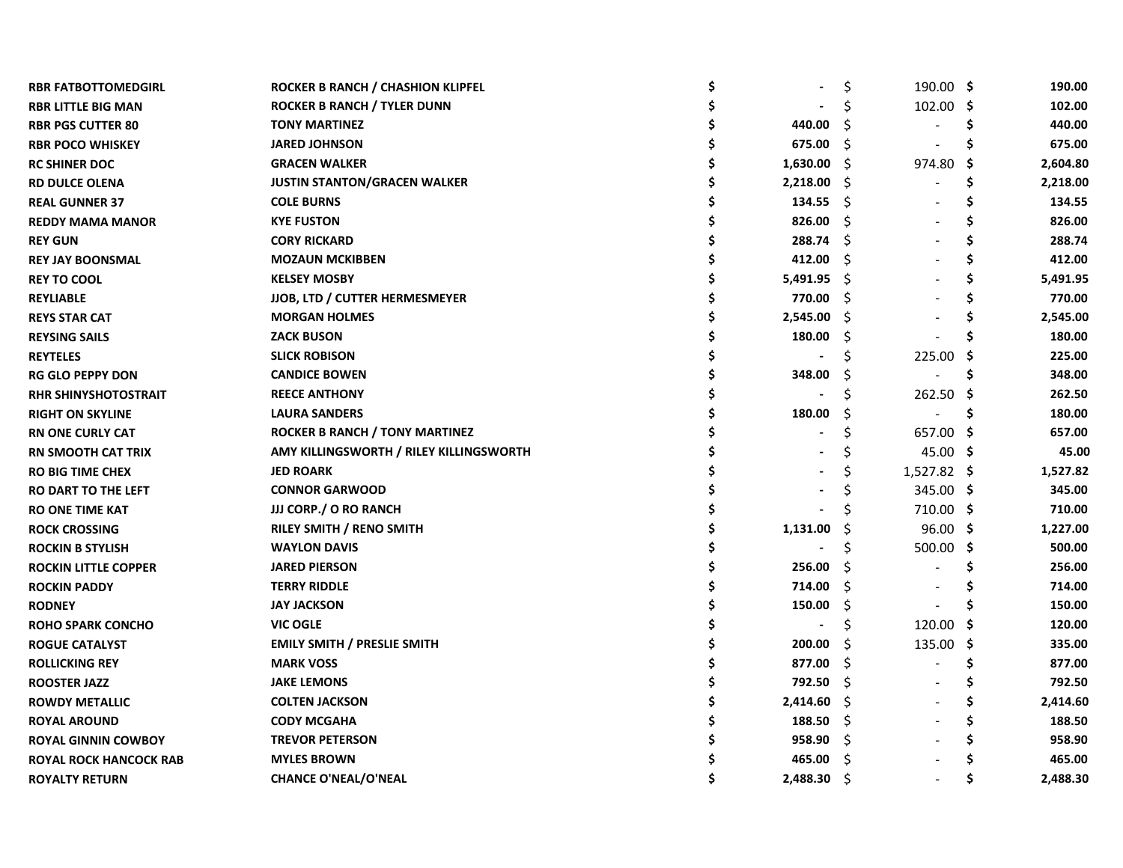| <b>RBR FATBOTTOMEDGIRL</b>    | ROCKER B RANCH / CHASHION KLIPFEL       |          | \$ | $190.00$ \$ |     | 190.00   |
|-------------------------------|-----------------------------------------|----------|----|-------------|-----|----------|
| <b>RBR LITTLE BIG MAN</b>     | <b>ROCKER B RANCH / TYLER DUNN</b>      |          |    | 102.00 \$   |     | 102.00   |
| <b>RBR PGS CUTTER 80</b>      | <b>TONY MARTINEZ</b>                    | 440.00   | Ś  |             | \$  | 440.00   |
| <b>RBR POCO WHISKEY</b>       | <b>JARED JOHNSON</b>                    | 675.00   | Ŝ  |             | S   | 675.00   |
| <b>RC SHINER DOC</b>          | <b>GRACEN WALKER</b>                    | 1,630.00 | -S | 974.80 \$   |     | 2,604.80 |
| <b>RD DULCE OLENA</b>         | <b>JUSTIN STANTON/GRACEN WALKER</b>     | 2,218.00 | -S |             | S   | 2,218.00 |
| <b>REAL GUNNER 37</b>         | <b>COLE BURNS</b>                       | 134.55   | Ŝ  |             | S   | 134.55   |
| <b>REDDY MAMA MANOR</b>       | <b>KYE FUSTON</b>                       | 826.00   | Ŝ  |             |     | 826.00   |
| <b>REY GUN</b>                | <b>CORY RICKARD</b>                     | 288.74   | Ŝ  |             |     | 288.74   |
| <b>REY JAY BOONSMAL</b>       | <b>MOZAUN MCKIBBEN</b>                  | 412.00   | S  |             |     | 412.00   |
| <b>REY TO COOL</b>            | <b>KELSEY MOSBY</b>                     | 5,491.95 | -Ŝ |             |     | 5,491.95 |
| <b>REYLIABLE</b>              | JJOB, LTD / CUTTER HERMESMEYER          | 770.00   | Ŝ  |             |     | 770.00   |
| <b>REYS STAR CAT</b>          | <b>MORGAN HOLMES</b>                    | 2,545.00 | Ŝ  |             |     | 2,545.00 |
| <b>REYSING SAILS</b>          | <b>ZACK BUSON</b>                       | 180.00   | S  |             |     | 180.00   |
| <b>REYTELES</b>               | <b>SLICK ROBISON</b>                    |          |    | 225.00      | - S | 225.00   |
| <b>RG GLO PEPPY DON</b>       | <b>CANDICE BOWEN</b>                    | 348.00   | S  |             | S   | 348.00   |
| <b>RHR SHINYSHOTOSTRAIT</b>   | <b>REECE ANTHONY</b>                    |          | S  | 262.50 \$   |     | 262.50   |
| <b>RIGHT ON SKYLINE</b>       | <b>LAURA SANDERS</b>                    | 180.00   | S  |             | S   | 180.00   |
| <b>RN ONE CURLY CAT</b>       | <b>ROCKER B RANCH / TONY MARTINEZ</b>   |          | Ś  | 657.00 \$   |     | 657.00   |
| <b>RN SMOOTH CAT TRIX</b>     | AMY KILLINGSWORTH / RILEY KILLINGSWORTH |          | Ś  | 45.00 \$    |     | 45.00    |
| <b>RO BIG TIME CHEX</b>       | <b>JED ROARK</b>                        |          | S  | 1,527.82 \$ |     | 1,527.82 |
| <b>RO DART TO THE LEFT</b>    | <b>CONNOR GARWOOD</b>                   |          | S  | 345.00 \$   |     | 345.00   |
| <b>RO ONE TIME KAT</b>        | JJJ CORP./ O RO RANCH                   |          |    | 710.00 \$   |     | 710.00   |
| <b>ROCK CROSSING</b>          | RILEY SMITH / RENO SMITH                | 1,131.00 | Ś  | $96.00$ \$  |     | 1,227.00 |
| <b>ROCKIN B STYLISH</b>       | <b>WAYLON DAVIS</b>                     |          | Ś  | 500.00 \$   |     | 500.00   |
| <b>ROCKIN LITTLE COPPER</b>   | <b>JARED PIERSON</b>                    | 256.00   | Ś  |             | S   | 256.00   |
| <b>ROCKIN PADDY</b>           | <b>TERRY RIDDLE</b>                     | 714.00   | Ŝ. |             |     | 714.00   |
| <b>RODNEY</b>                 | <b>JAY JACKSON</b>                      | 150.00   | \$ |             |     | 150.00   |
| <b>ROHO SPARK CONCHO</b>      | <b>VIC OGLE</b>                         |          | \$ | 120.00      | - S | 120.00   |
| <b>ROGUE CATALYST</b>         | <b>EMILY SMITH / PRESLIE SMITH</b>      | 200.00   | S  | 135.00 \$   |     | 335.00   |
| <b>ROLLICKING REY</b>         | <b>MARK VOSS</b>                        | 877.00   | Ŝ. |             | \$  | 877.00   |
| <b>ROOSTER JAZZ</b>           | <b>JAKE LEMONS</b>                      | 792.50   | Ŝ. |             | Ś   | 792.50   |
| <b>ROWDY METALLIC</b>         | <b>COLTEN JACKSON</b>                   | 2,414.60 | -S |             |     | 2,414.60 |
| <b>ROYAL AROUND</b>           | <b>CODY MCGAHA</b>                      | 188.50   | S  |             |     | 188.50   |
| <b>ROYAL GINNIN COWBOY</b>    | <b>TREVOR PETERSON</b>                  | 958.90   | S  |             |     | 958.90   |
| <b>ROYAL ROCK HANCOCK RAB</b> | <b>MYLES BROWN</b>                      | 465.00   | Ŝ  |             |     | 465.00   |
| <b>ROYALTY RETURN</b>         | <b>CHANCE O'NEAL/O'NEAL</b>             | 2,488.30 | Ŝ  |             |     | 2,488.30 |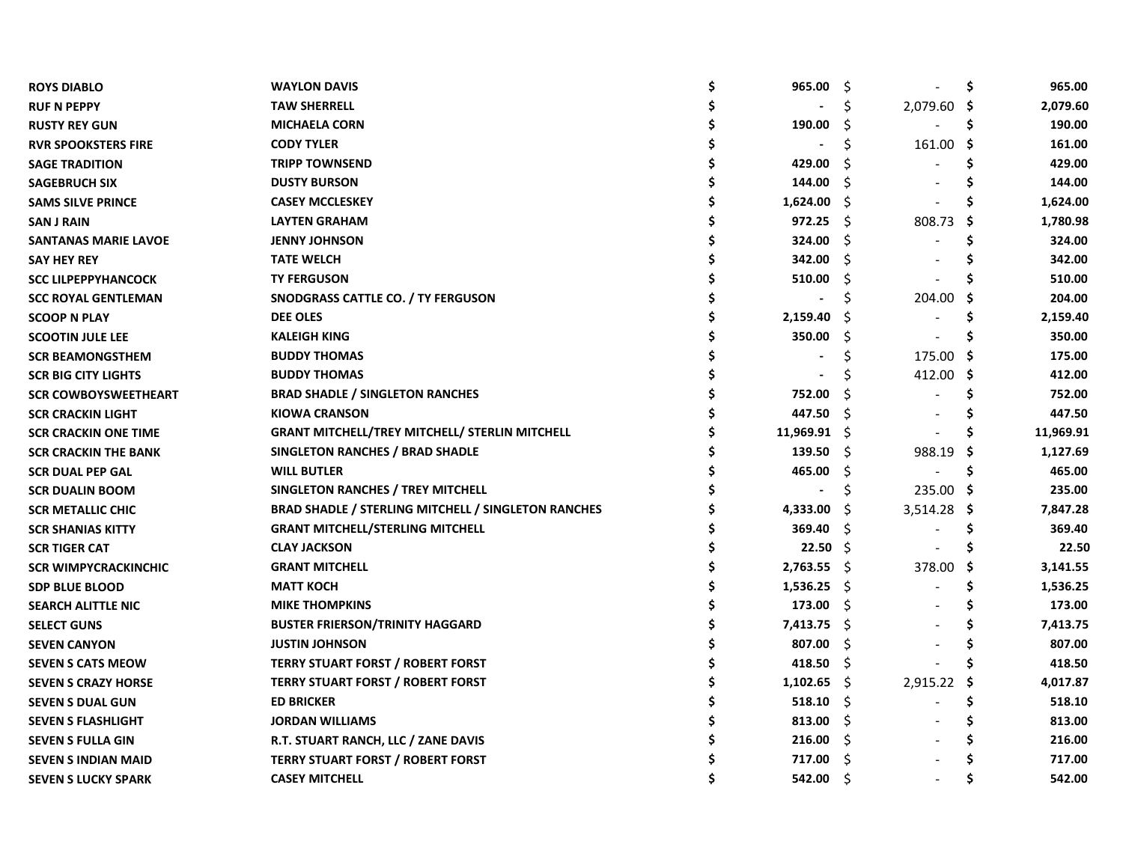| <b>ROYS DIABLO</b>          | <b>WAYLON DAVIS</b>                                        | Ś | 965.00         | -\$  |             | \$   | 965.00    |
|-----------------------------|------------------------------------------------------------|---|----------------|------|-------------|------|-----------|
| <b>RUF N PEPPY</b>          | <b>TAW SHERRELL</b>                                        |   |                | \$   | 2,079.60 \$ |      | 2,079.60  |
| <b>RUSTY REY GUN</b>        | <b>MICHAELA CORN</b>                                       |   | 190.00         | S    |             | \$   | 190.00    |
| <b>RVR SPOOKSTERS FIRE</b>  | <b>CODY TYLER</b>                                          |   |                | Ś    | 161.00      | -\$  | 161.00    |
| <b>SAGE TRADITION</b>       | <b>TRIPP TOWNSEND</b>                                      |   | 429.00         | S    |             | s    | 429.00    |
| <b>SAGEBRUCH SIX</b>        | <b>DUSTY BURSON</b>                                        |   | 144.00         | Ŝ    |             | Ś    | 144.00    |
| <b>SAMS SILVE PRINCE</b>    | <b>CASEY MCCLESKEY</b>                                     |   | 1,624.00       | Ŝ    |             | S    | 1,624.00  |
| <b>SAN J RAIN</b>           | <b>LAYTEN GRAHAM</b>                                       |   | 972.25         | Ŝ.   | 808.73      | -\$  | 1,780.98  |
| <b>SANTANAS MARIE LAVOE</b> | <b>JENNY JOHNSON</b>                                       |   | 324.00         | S    |             |      | 324.00    |
| <b>SAY HEY REY</b>          | <b>TATE WELCH</b>                                          |   | 342.00         | Ŝ    |             |      | 342.00    |
| <b>SCC LILPEPPYHANCOCK</b>  | <b>TY FERGUSON</b>                                         |   | 510.00         | S    |             |      | 510.00    |
| <b>SCC ROYAL GENTLEMAN</b>  | SNODGRASS CATTLE CO. / TY FERGUSON                         |   |                | S    | 204.00      |      | 204.00    |
| <b>SCOOP N PLAY</b>         | <b>DEE OLES</b>                                            |   | 2,159.40       |      |             |      | 2,159.40  |
| <b>SCOOTIN JULE LEE</b>     | <b>KALEIGH KING</b>                                        |   | 350.00         | Ś    |             |      | 350.00    |
| <b>SCR BEAMONGSTHEM</b>     | <b>BUDDY THOMAS</b>                                        |   |                | S    | 175.00 \$   |      | 175.00    |
| <b>SCR BIG CITY LIGHTS</b>  | <b>BUDDY THOMAS</b>                                        |   |                |      | 412.00 \$   |      | 412.00    |
| <b>SCR COWBOYSWEETHEART</b> | <b>BRAD SHADLE / SINGLETON RANCHES</b>                     |   | 752.00         | S    |             | Ś    | 752.00    |
| <b>SCR CRACKIN LIGHT</b>    | <b>KIOWA CRANSON</b>                                       |   | 447.50         | Ŝ    |             | S    | 447.50    |
| <b>SCR CRACKIN ONE TIME</b> | <b>GRANT MITCHELL/TREY MITCHELL/ STERLIN MITCHELL</b>      |   | $11,969.91$ \$ |      |             |      | 11,969.91 |
| <b>SCR CRACKIN THE BANK</b> | SINGLETON RANCHES / BRAD SHADLE                            |   | 139.50         | -S   | 988.19      | -S   | 1,127.69  |
| <b>SCR DUAL PEP GAL</b>     | <b>WILL BUTLER</b>                                         |   | 465.00         | \$.  |             | \$.  | 465.00    |
| <b>SCR DUALIN BOOM</b>      | SINGLETON RANCHES / TREY MITCHELL                          |   |                | \$   | 235.00 \$   |      | 235.00    |
| <b>SCR METALLIC CHIC</b>    | <b>BRAD SHADLE / STERLING MITCHELL / SINGLETON RANCHES</b> |   | 4,333.00       | Ŝ    | 3,514.28    | Ş    | 7,847.28  |
| <b>SCR SHANIAS KITTY</b>    | <b>GRANT MITCHELL/STERLING MITCHELL</b>                    |   | 369.40         | Ŝ.   |             | \$   | 369.40    |
| <b>SCR TIGER CAT</b>        | <b>CLAY JACKSON</b>                                        |   | $22.50 \pm 5$  |      |             | S    | 22.50     |
| <b>SCR WIMPYCRACKINCHIC</b> | <b>GRANT MITCHELL</b>                                      |   | 2,763.55       | - S  | 378.00      | -S   | 3,141.55  |
| <b>SDP BLUE BLOOD</b>       | <b>MATT KOCH</b>                                           |   | 1,536.25       | - \$ |             | S    | 1,536.25  |
| <b>SEARCH ALITTLE NIC</b>   | <b>MIKE THOMPKINS</b>                                      |   | 173.00         | Ŝ.   |             |      | 173.00    |
| <b>SELECT GUNS</b>          | <b>BUSTER FRIERSON/TRINITY HAGGARD</b>                     |   | 7,413.75       | -\$  |             |      | 7,413.75  |
| <b>SEVEN CANYON</b>         | <b>JUSTIN JOHNSON</b>                                      |   | 807.00         | Ŝ.   |             |      | 807.00    |
| <b>SEVEN S CATS MEOW</b>    | <b>TERRY STUART FORST / ROBERT FORST</b>                   |   | 418.50         | -\$  |             |      | 418.50    |
| <b>SEVEN S CRAZY HORSE</b>  | <b>TERRY STUART FORST / ROBERT FORST</b>                   |   | 1,102.65       | -S   | 2,915.22    | - \$ | 4,017.87  |
| <b>SEVEN S DUAL GUN</b>     | <b>ED BRICKER</b>                                          |   | 518.10         | -S   |             | \$.  | 518.10    |
| <b>SEVEN S FLASHLIGHT</b>   | <b>JORDAN WILLIAMS</b>                                     |   | 813.00         | -S   |             |      | 813.00    |
| <b>SEVEN S FULLA GIN</b>    | R.T. STUART RANCH, LLC / ZANE DAVIS                        |   | 216.00         | S    |             |      | 216.00    |
| <b>SEVEN S INDIAN MAID</b>  | <b>TERRY STUART FORST / ROBERT FORST</b>                   |   | 717.00         | Ŝ    |             |      | 717.00    |
| <b>SEVEN S LUCKY SPARK</b>  | <b>CASEY MITCHELL</b>                                      |   | 542.00         | Ŝ    |             |      | 542.00    |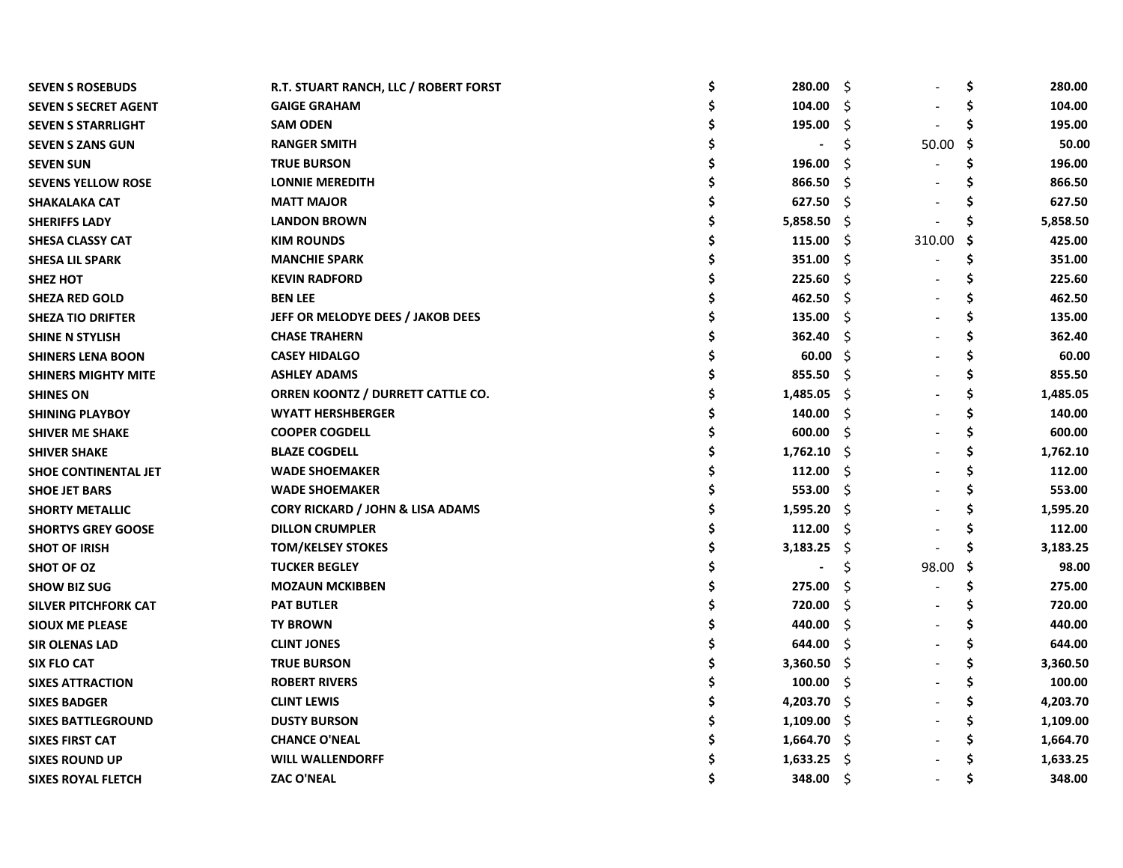| <b>SEVEN S ROSEBUDS</b>     | R.T. STUART RANCH, LLC / ROBERT FORST       | \$<br>280.00   | S.  |        | \$  | 280.00   |
|-----------------------------|---------------------------------------------|----------------|-----|--------|-----|----------|
| <b>SEVEN S SECRET AGENT</b> | <b>GAIGE GRAHAM</b>                         | 104.00         | S   |        | \$  | 104.00   |
| <b>SEVEN S STARRLIGHT</b>   | <b>SAM ODEN</b>                             | 195.00         | Ŝ.  |        | \$  | 195.00   |
| <b>SEVEN S ZANS GUN</b>     | <b>RANGER SMITH</b>                         |                | Ś   | 50.00  | -\$ | 50.00    |
| <b>SEVEN SUN</b>            | <b>TRUE BURSON</b>                          | 196.00         | S   |        | \$. | 196.00   |
| <b>SEVENS YELLOW ROSE</b>   | <b>LONNIE MEREDITH</b>                      | 866.50         | S   |        | S   | 866.50   |
| <b>SHAKALAKA CAT</b>        | <b>MATT MAJOR</b>                           | 627.50         | Š.  |        | S   | 627.50   |
| <b>SHERIFFS LADY</b>        | <b>LANDON BROWN</b>                         | 5,858.50       | -S  |        |     | 5,858.50 |
| <b>SHESA CLASSY CAT</b>     | <b>KIM ROUNDS</b>                           | 115.00         | -\$ | 310.00 | -S  | 425.00   |
| <b>SHESA LIL SPARK</b>      | <b>MANCHIE SPARK</b>                        | 351.00         | -\$ |        | S   | 351.00   |
| <b>SHEZ HOT</b>             | <b>KEVIN RADFORD</b>                        | 225.60         | \$. |        | Ś   | 225.60   |
| <b>SHEZA RED GOLD</b>       | <b>BEN LEE</b>                              | 462.50         | Ŝ   |        | \$  | 462.50   |
| <b>SHEZA TIO DRIFTER</b>    | JEFF OR MELODYE DEES / JAKOB DEES           | 135.00         | \$. |        | \$  | 135.00   |
| <b>SHINE N STYLISH</b>      | <b>CHASE TRAHERN</b>                        | 362.40         | S   |        | Ś   | 362.40   |
| <b>SHINERS LENA BOON</b>    | <b>CASEY HIDALGO</b>                        | 60.00          | -S  |        | Ś   | 60.00    |
| <b>SHINERS MIGHTY MITE</b>  | <b>ASHLEY ADAMS</b>                         | 855.50         | -S  |        | Ś   | 855.50   |
| <b>SHINES ON</b>            | ORREN KOONTZ / DURRETT CATTLE CO.           | 1,485.05       | -S  |        | \$  | 1,485.05 |
| <b>SHINING PLAYBOY</b>      | <b>WYATT HERSHBERGER</b>                    | 140.00         | S.  |        | \$  | 140.00   |
| <b>SHIVER ME SHAKE</b>      | <b>COOPER COGDELL</b>                       | 600.00         | \$  |        | \$  | 600.00   |
| <b>SHIVER SHAKE</b>         | <b>BLAZE COGDELL</b>                        | 1,762.10       | S.  |        | \$  | 1,762.10 |
| <b>SHOE CONTINENTAL JET</b> | <b>WADE SHOEMAKER</b>                       | 112.00         | Ŝ.  |        | \$  | 112.00   |
| <b>SHOE JET BARS</b>        | <b>WADE SHOEMAKER</b>                       | 553.00         | \$  |        | \$  | 553.00   |
| <b>SHORTY METALLIC</b>      | <b>CORY RICKARD / JOHN &amp; LISA ADAMS</b> | 1,595.20       | -Ŝ  |        | \$  | 1,595.20 |
| <b>SHORTYS GREY GOOSE</b>   | <b>DILLON CRUMPLER</b>                      | 112.00         | Ŝ   |        | \$. | 112.00   |
| <b>SHOT OF IRISH</b>        | <b>TOM/KELSEY STOKES</b>                    | 3,183.25       | -\$ |        | Ś   | 3,183.25 |
| <b>SHOT OF OZ</b>           | <b>TUCKER BEGLEY</b>                        | $\overline{a}$ | \$  | 98.00  | -\$ | 98.00    |
| <b>SHOW BIZ SUG</b>         | <b>MOZAUN MCKIBBEN</b>                      | 275.00         | Ŝ   |        | \$  | 275.00   |
| <b>SILVER PITCHFORK CAT</b> | <b>PAT BUTLER</b>                           | 720.00         | \$. |        | Ś   | 720.00   |
| <b>SIOUX ME PLEASE</b>      | <b>TY BROWN</b>                             | 440.00         | \$. |        | Ś   | 440.00   |
| <b>SIR OLENAS LAD</b>       | <b>CLINT JONES</b>                          | 644.00         | S   |        | \$. | 644.00   |
| SIX FLO CAT                 | <b>TRUE BURSON</b>                          | 3,360.50       | -S  |        | \$  | 3,360.50 |
| <b>SIXES ATTRACTION</b>     | <b>ROBERT RIVERS</b>                        | 100.00         | Ŝ.  |        | \$  | 100.00   |
| <b>SIXES BADGER</b>         | <b>CLINT LEWIS</b>                          | 4,203.70       | -S  |        | \$  | 4,203.70 |
| <b>SIXES BATTLEGROUND</b>   | <b>DUSTY BURSON</b>                         | 1,109.00       | -S  |        | \$  | 1,109.00 |
| <b>SIXES FIRST CAT</b>      | <b>CHANCE O'NEAL</b>                        | 1,664.70       | -S  |        | \$  | 1,664.70 |
| <b>SIXES ROUND UP</b>       | <b>WILL WALLENDORFF</b>                     | 1,633.25       | Ŝ.  |        | \$  | 1,633.25 |
| <b>SIXES ROYAL FLETCH</b>   | <b>ZAC O'NEAL</b>                           | 348.00         | Ŝ   |        | Ś   | 348.00   |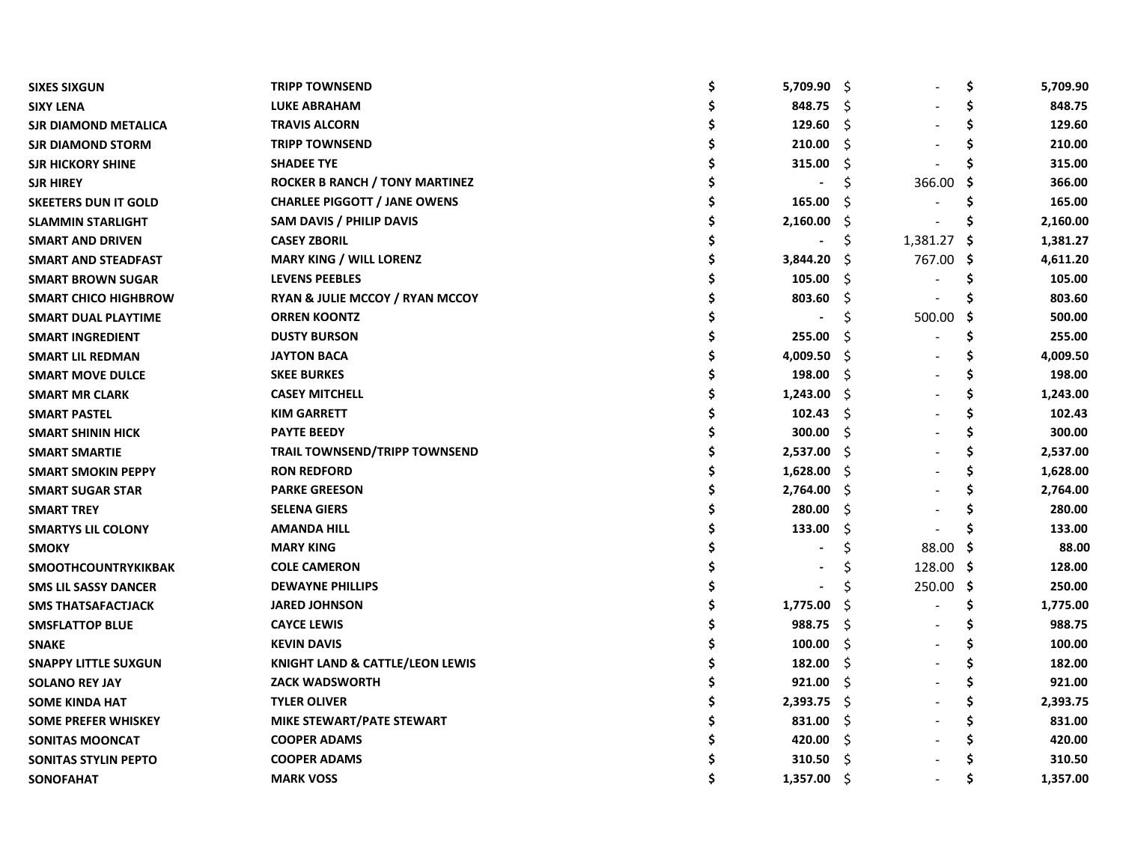| <b>SIXES SIXGUN</b>         | <b>TRIPP TOWNSEND</b>                 | \$<br>5,709.90 | - \$ |             | \$  | 5,709.90 |
|-----------------------------|---------------------------------------|----------------|------|-------------|-----|----------|
| <b>SIXY LENA</b>            | <b>LUKE ABRAHAM</b>                   | 848.75         | -Ŝ   |             | \$  | 848.75   |
| <b>SJR DIAMOND METALICA</b> | <b>TRAVIS ALCORN</b>                  | 129.60         | Ŝ.   |             | \$  | 129.60   |
| <b>SJR DIAMOND STORM</b>    | <b>TRIPP TOWNSEND</b>                 | 210.00         | Ŝ    |             | \$  | 210.00   |
| <b>SJR HICKORY SHINE</b>    | <b>SHADEE TYE</b>                     | 315.00         | S    |             | \$  | 315.00   |
| <b>SJR HIREY</b>            | <b>ROCKER B RANCH / TONY MARTINEZ</b> |                | Ś    | 366.00      | -\$ | 366.00   |
| <b>SKEETERS DUN IT GOLD</b> | <b>CHARLEE PIGGOTT / JANE OWENS</b>   | 165.00         | S    |             | S   | 165.00   |
| <b>SLAMMIN STARLIGHT</b>    | SAM DAVIS / PHILIP DAVIS              | 2,160.00       | S    |             | S   | 2,160.00 |
| <b>SMART AND DRIVEN</b>     | <b>CASEY ZBORIL</b>                   |                |      | 1,381.27 \$ |     | 1,381.27 |
| SMART AND STEADFAST         | <b>MARY KING / WILL LORENZ</b>        | 3,844.20       | S    | 767.00 \$   |     | 4,611.20 |
| <b>SMART BROWN SUGAR</b>    | <b>LEVENS PEEBLES</b>                 | 105.00         | S    |             |     | 105.00   |
| <b>SMART CHICO HIGHBROW</b> | RYAN & JULIE MCCOY / RYAN MCCOY       | 803.60         | \$   |             |     | 803.60   |
| <b>SMART DUAL PLAYTIME</b>  | <b>ORREN KOONTZ</b>                   |                | S    | 500.00      | -S  | 500.00   |
| <b>SMART INGREDIENT</b>     | <b>DUSTY BURSON</b>                   | 255.00         | S    |             | Ś   | 255.00   |
| <b>SMART LIL REDMAN</b>     | <b>JAYTON BACA</b>                    | 4,009.50       | \$.  |             | \$. | 4,009.50 |
| <b>SMART MOVE DULCE</b>     | <b>SKEE BURKES</b>                    | 198.00         | -S   |             | S   | 198.00   |
| <b>SMART MR CLARK</b>       | <b>CASEY MITCHELL</b>                 | 1,243.00       | -Ŝ   |             | Ś   | 1,243.00 |
| <b>SMART PASTEL</b>         | <b>KIM GARRETT</b>                    | 102.43         | Ŝ.   |             | Ś   | 102.43   |
| <b>SMART SHININ HICK</b>    | <b>PAYTE BEEDY</b>                    | 300.00         | Ŝ.   |             | \$. | 300.00   |
| <b>SMART SMARTIE</b>        | <b>TRAIL TOWNSEND/TRIPP TOWNSEND</b>  | 2,537.00       | -S   |             | Ś   | 2,537.00 |
| <b>SMART SMOKIN PEPPY</b>   | <b>RON REDFORD</b>                    | 1,628.00       | S.   |             | \$  | 1,628.00 |
| <b>SMART SUGAR STAR</b>     | <b>PARKE GREESON</b>                  | 2,764.00       | S.   |             | \$  | 2,764.00 |
| <b>SMART TREY</b>           | <b>SELENA GIERS</b>                   | 280.00         | Ŝ.   |             | Ś   | 280.00   |
| <b>SMARTYS LIL COLONY</b>   | <b>AMANDA HILL</b>                    | 133.00         | Ś    |             | Ś   | 133.00   |
| <b>SMOKY</b>                | <b>MARY KING</b>                      |                | Ś    | 88.00       | -S  | 88.00    |
| <b>SMOOTHCOUNTRYKIKBAK</b>  | <b>COLE CAMERON</b>                   |                |      | 128.00 \$   |     | 128.00   |
| <b>SMS LIL SASSY DANCER</b> | <b>DEWAYNE PHILLIPS</b>               |                | Ś    | 250.00 \$   |     | 250.00   |
| <b>SMS THATSAFACTJACK</b>   | <b>JARED JOHNSON</b>                  | 1,775.00       | \$   |             | \$. | 1,775.00 |
| <b>SMSFLATTOP BLUE</b>      | <b>CAYCE LEWIS</b>                    | 988.75         | \$.  |             | Ś   | 988.75   |
| <b>SNAKE</b>                | <b>KEVIN DAVIS</b>                    | 100.00         | \$.  |             | \$. | 100.00   |
| <b>SNAPPY LITTLE SUXGUN</b> | KNIGHT LAND & CATTLE/LEON LEWIS       | 182.00         | S    |             | Ś   | 182.00   |
| <b>SOLANO REY JAY</b>       | <b>ZACK WADSWORTH</b>                 | 921.00         | -\$  |             | Ś   | 921.00   |
| <b>SOME KINDA HAT</b>       | <b>TYLER OLIVER</b>                   | 2,393.75       | -S   |             | \$. | 2,393.75 |
| <b>SOME PREFER WHISKEY</b>  | MIKE STEWART/PATE STEWART             | 831.00         | S    |             | \$. | 831.00   |
| SONITAS MOONCAT             | <b>COOPER ADAMS</b>                   | 420.00         | S    |             | Ś   | 420.00   |
| <b>SONITAS STYLIN PEPTO</b> | <b>COOPER ADAMS</b>                   | 310.50         | Ŝ    |             |     | 310.50   |
| <b>SONOFAHAT</b>            | <b>MARK VOSS</b>                      | 1,357.00       | Ŝ    |             | Ś   | 1,357.00 |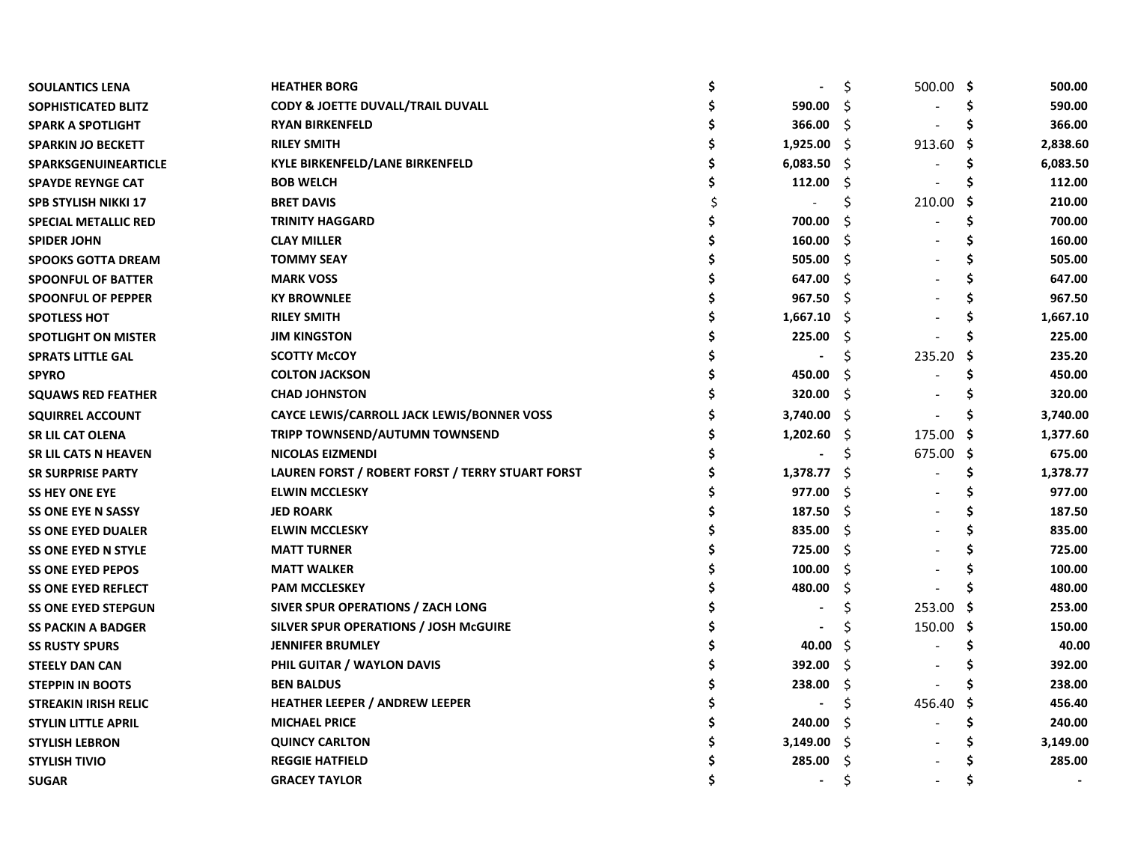| SOULANTICS LENA             | <b>HEATHER BORG</b>                              | \$             | \$   | $500.00$ \$ |     | 500.00   |
|-----------------------------|--------------------------------------------------|----------------|------|-------------|-----|----------|
| SOPHISTICATED BLITZ         | <b>CODY &amp; JOETTE DUVALL/TRAIL DUVALL</b>     | 590.00         | Ŝ    |             | S   | 590.00   |
| <b>SPARK A SPOTLIGHT</b>    | <b>RYAN BIRKENFELD</b>                           | 366.00         | \$   |             | S   | 366.00   |
| <b>SPARKIN JO BECKETT</b>   | <b>RILEY SMITH</b>                               | 1,925.00       | - S  | 913.60      | -\$ | 2,838.60 |
| <b>SPARKSGENUINEARTICLE</b> | <b>KYLE BIRKENFELD/LANE BIRKENFELD</b>           | 6,083.50       | \$.  |             | S   | 6,083.50 |
| <b>SPAYDE REYNGE CAT</b>    | <b>BOB WELCH</b>                                 | 112.00         | S    |             | S   | 112.00   |
| <b>SPB STYLISH NIKKI 17</b> | <b>BRET DAVIS</b>                                |                | Ś    | 210.00      | -S  | 210.00   |
| <b>SPECIAL METALLIC RED</b> | <b>TRINITY HAGGARD</b>                           | 700.00         |      |             |     | 700.00   |
| <b>SPIDER JOHN</b>          | <b>CLAY MILLER</b>                               | 160.00         | S    |             |     | 160.00   |
| <b>SPOOKS GOTTA DREAM</b>   | <b>TOMMY SEAY</b>                                | 505.00         | S    |             |     | 505.00   |
| <b>SPOONFUL OF BATTER</b>   | <b>MARK VOSS</b>                                 | 647.00         | S    |             |     | 647.00   |
| <b>SPOONFUL OF PEPPER</b>   | <b>KY BROWNLEE</b>                               | 967.50         | Ŝ    |             |     | 967.50   |
| <b>SPOTLESS HOT</b>         | <b>RILEY SMITH</b>                               | 1,667.10       | - \$ |             |     | 1,667.10 |
| <b>SPOTLIGHT ON MISTER</b>  | <b>JIM KINGSTON</b>                              | 225.00         | \$   |             |     | 225.00   |
| <b>SPRATS LITTLE GAL</b>    | <b>SCOTTY McCOY</b>                              |                | Ś    | 235.20      | -S  | 235.20   |
| <b>SPYRO</b>                | <b>COLTON JACKSON</b>                            | 450.00         | S    |             |     | 450.00   |
| <b>SQUAWS RED FEATHER</b>   | <b>CHAD JOHNSTON</b>                             | 320.00         | -S   |             |     | 320.00   |
| <b>SQUIRREL ACCOUNT</b>     | CAYCE LEWIS/CARROLL JACK LEWIS/BONNER VOSS       | 3,740.00       | - S  |             | S   | 3,740.00 |
| <b>SR LIL CAT OLENA</b>     | TRIPP TOWNSEND/AUTUMN TOWNSEND                   | 1,202.60       | -\$  | 175.00      | -\$ | 1,377.60 |
| <b>SR LIL CATS N HEAVEN</b> | <b>NICOLAS EIZMENDI</b>                          |                | Ś    | 675.00      | -S  | 675.00   |
| <b>SR SURPRISE PARTY</b>    | LAUREN FORST / ROBERT FORST / TERRY STUART FORST | 1,378.77       | Ŝ    |             | Ś   | 1,378.77 |
| <b>SS HEY ONE EYE</b>       | <b>ELWIN MCCLESKY</b>                            | 977.00         | \$.  |             |     | 977.00   |
| <b>SS ONE EYE N SASSY</b>   | <b>JED ROARK</b>                                 | 187.50         | \$   |             |     | 187.50   |
| <b>SS ONE EYED DUALER</b>   | <b>ELWIN MCCLESKY</b>                            | 835.00         | \$.  |             |     | 835.00   |
| <b>SS ONE EYED N STYLE</b>  | <b>MATT TURNER</b>                               | 725.00         | \$   |             |     | 725.00   |
| <b>SS ONE EYED PEPOS</b>    | <b>MATT WALKER</b>                               | 100.00         | \$   |             |     | 100.00   |
| <b>SS ONE EYED REFLECT</b>  | <b>PAM MCCLESKEY</b>                             | 480.00         | \$.  |             |     | 480.00   |
| <b>SS ONE EYED STEPGUN</b>  | SIVER SPUR OPERATIONS / ZACH LONG                | $\blacksquare$ | \$   | 253.00      | -S  | 253.00   |
| <b>SS PACKIN A BADGER</b>   | SILVER SPUR OPERATIONS / JOSH McGUIRE            |                | Ś    | 150.00      | -\$ | 150.00   |
| <b>SS RUSTY SPURS</b>       | <b>JENNIFER BRUMLEY</b>                          | 40.00          | -Ŝ   |             |     | 40.00    |
| <b>STEELY DAN CAN</b>       | PHIL GUITAR / WAYLON DAVIS                       | 392.00         | Ŝ    |             |     | 392.00   |
| <b>STEPPIN IN BOOTS</b>     | <b>BEN BALDUS</b>                                | 238.00         | S    |             |     | 238.00   |
| <b>STREAKIN IRISH RELIC</b> | <b>HEATHER LEEPER / ANDREW LEEPER</b>            | $\blacksquare$ | \$.  | 456.40      | .s  | 456.40   |
| <b>STYLIN LITTLE APRIL</b>  | <b>MICHAEL PRICE</b>                             | 240.00         | Ŝ    |             | Ś   | 240.00   |
| <b>STYLISH LEBRON</b>       | <b>QUINCY CARLTON</b>                            | 3,149.00       | - \$ |             |     | 3,149.00 |
| <b>STYLISH TIVIO</b>        | <b>REGGIE HATFIELD</b>                           | 285.00         | Ŝ    |             |     | 285.00   |
| <b>SUGAR</b>                | <b>GRACEY TAYLOR</b>                             |                | Ś    |             |     |          |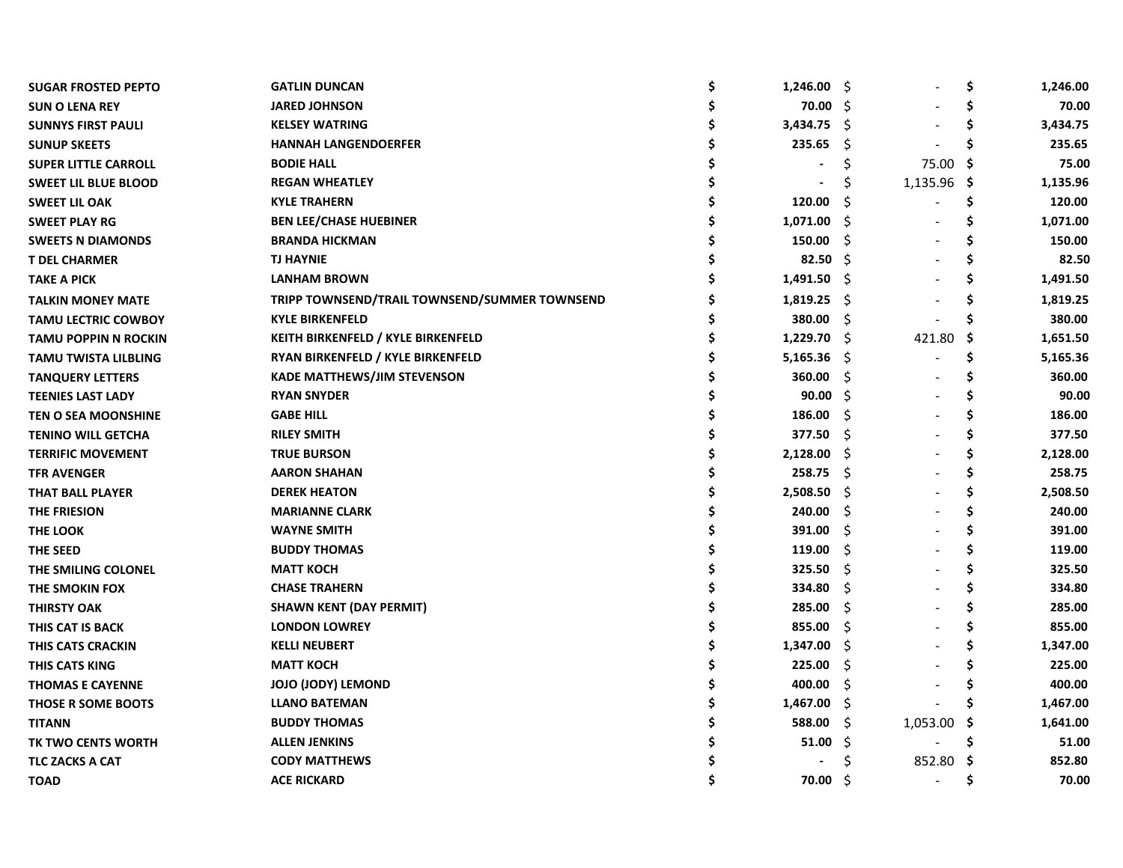| <b>SUGAR FROSTED PEPTO</b>  | <b>GATLIN DUNCAN</b>                          | \$<br>$1,246.00$ \$ |     |             | \$  | 1,246.00 |
|-----------------------------|-----------------------------------------------|---------------------|-----|-------------|-----|----------|
| <b>SUN O LENA REY</b>       | <b>JARED JOHNSON</b>                          | 70.00               | -S  |             | Ś   | 70.00    |
| <b>SUNNYS FIRST PAULI</b>   | <b>KELSEY WATRING</b>                         | 3,434.75            | Ŝ.  |             | \$  | 3,434.75 |
| <b>SUNUP SKEETS</b>         | <b>HANNAH LANGENDOERFER</b>                   | 235.65              | \$  |             | Ś   | 235.65   |
| <b>SUPER LITTLE CARROLL</b> | <b>BODIE HALL</b>                             |                     | \$  | 75.00       | -\$ | 75.00    |
| <b>SWEET LIL BLUE BLOOD</b> | <b>REGAN WHEATLEY</b>                         |                     | S   | 1,135.96 \$ |     | 1,135.96 |
| <b>SWEET LIL OAK</b>        | <b>KYLE TRAHERN</b>                           | 120.00              | S   |             | \$  | 120.00   |
| <b>SWEET PLAY RG</b>        | <b>BEN LEE/CHASE HUEBINER</b>                 | 1,071.00            | Ŝ   |             | Ś   | 1,071.00 |
| <b>SWEETS N DIAMONDS</b>    | <b>BRANDA HICKMAN</b>                         | 150.00              | Ŝ   |             | Ś   | 150.00   |
| <b>T DEL CHARMER</b>        | <b>TJ HAYNIE</b>                              | 82.50               | S   |             | Ś   | 82.50    |
| <b>TAKE A PICK</b>          | <b>LANHAM BROWN</b>                           | 1,491.50            | -S  |             | Ś   | 1,491.50 |
| <b>TALKIN MONEY MATE</b>    | TRIPP TOWNSEND/TRAIL TOWNSEND/SUMMER TOWNSEND | 1,819.25            | -S  |             | S   | 1,819.25 |
| <b>TAMU LECTRIC COWBOY</b>  | <b>KYLE BIRKENFELD</b>                        | 380.00              | Ŝ.  |             | Ś   | 380.00   |
| <b>TAMU POPPIN N ROCKIN</b> | <b>KEITH BIRKENFELD / KYLE BIRKENFELD</b>     | 1,229.70            | -\$ | 421.80      | \$. | 1,651.50 |
| <b>TAMU TWISTA LILBLING</b> | RYAN BIRKENFELD / KYLE BIRKENFELD             | 5,165.36            | Ŝ.  |             | \$  | 5,165.36 |
| <b>TANQUERY LETTERS</b>     | <b>KADE MATTHEWS/JIM STEVENSON</b>            | 360.00              | Ŝ.  |             | \$  | 360.00   |
| <b>TEENIES LAST LADY</b>    | <b>RYAN SNYDER</b>                            | 90.00               | Ŝ.  |             | \$  | 90.00    |
| <b>TEN O SEA MOONSHINE</b>  | <b>GABE HILL</b>                              | 186.00              | Ŝ.  |             | \$  | 186.00   |
| <b>TENINO WILL GETCHA</b>   | <b>RILEY SMITH</b>                            | 377.50              | Ŝ.  |             | Ś   | 377.50   |
| <b>TERRIFIC MOVEMENT</b>    | <b>TRUE BURSON</b>                            | 2,128.00            | Ŝ   |             | Ś   | 2,128.00 |
| <b>TFR AVENGER</b>          | <b>AARON SHAHAN</b>                           | 258.75              | \$  |             | Ś   | 258.75   |
| <b>THAT BALL PLAYER</b>     | <b>DEREK HEATON</b>                           | 2,508.50            | Ŝ.  |             | Ś   | 2,508.50 |
| THE FRIESION                | <b>MARIANNE CLARK</b>                         | 240.00              | \$. |             | Ś   | 240.00   |
| THE LOOK                    | <b>WAYNE SMITH</b>                            | 391.00              | S   |             | Ś   | 391.00   |
| THE SEED                    | <b>BUDDY THOMAS</b>                           | 119.00              | \$  |             | Ś   | 119.00   |
| THE SMILING COLONEL         | <b>MATT KOCH</b>                              | 325.50              | \$  |             |     | 325.50   |
| THE SMOKIN FOX              | <b>CHASE TRAHERN</b>                          | 334.80              | \$  |             |     | 334.80   |
| <b>THIRSTY OAK</b>          | <b>SHAWN KENT (DAY PERMIT)</b>                | 285.00              | \$  |             |     | 285.00   |
| THIS CAT IS BACK            | <b>LONDON LOWREY</b>                          | 855.00              | \$. |             | Ś   | 855.00   |
| THIS CATS CRACKIN           | <b>KELLI NEUBERT</b>                          | 1,347.00            | S   |             | Ś   | 1,347.00 |
| THIS CATS KING              | <b>MATT KOCH</b>                              | 225.00              | Ŝ   |             |     | 225.00   |
| <b>THOMAS E CAYENNE</b>     | <b>JOJO (JODY) LEMOND</b>                     | 400.00              | \$. |             |     | 400.00   |
| THOSE R SOME BOOTS          | <b>LLANO BATEMAN</b>                          | 1,467.00            | -S  |             | S   | 1,467.00 |
| <b>TITANN</b>               | <b>BUDDY THOMAS</b>                           | 588.00              | \$. | 1,053.00    | -\$ | 1,641.00 |
| TK TWO CENTS WORTH          | <b>ALLEN JENKINS</b>                          | 51.00               | Ŝ.  |             | Ś   | 51.00    |
| <b>TLC ZACKS A CAT</b>      | <b>CODY MATTHEWS</b>                          |                     | S   | 852.80      | -S  | 852.80   |
| <b>TOAD</b>                 | <b>ACE RICKARD</b>                            | 70.00               | Ŝ   |             | Ś   | 70.00    |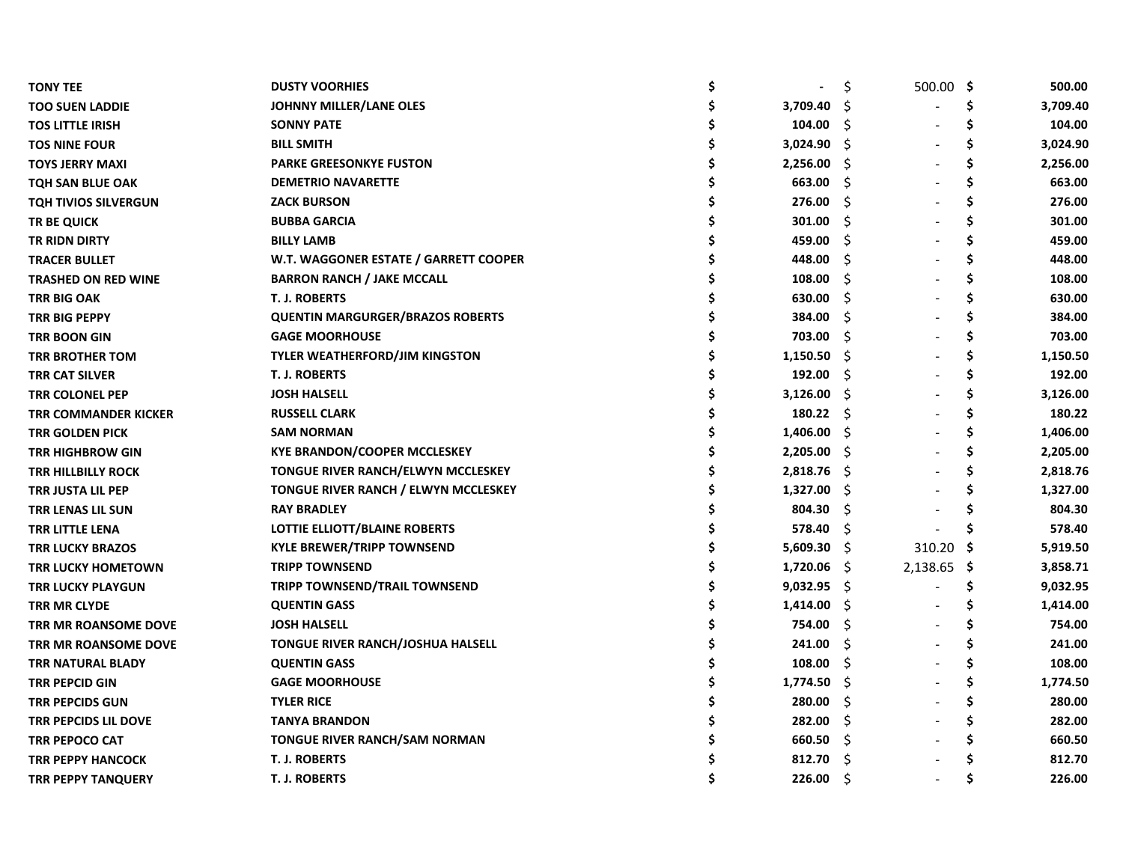| <b>TONY TEE</b>             | <b>DUSTY VOORHIES</b>                   |               | \$,  | $500.00$ \$ |     | 500.00   |
|-----------------------------|-----------------------------------------|---------------|------|-------------|-----|----------|
| <b>TOO SUEN LADDIE</b>      | <b>JOHNNY MILLER/LANE OLES</b>          | 3,709.40      | Ŝ.   |             | \$  | 3,709.40 |
| <b>TOS LITTLE IRISH</b>     | <b>SONNY PATE</b>                       | 104.00        | Ŝ    |             | \$  | 104.00   |
| <b>TOS NINE FOUR</b>        | <b>BILL SMITH</b>                       | 3,024.90      | Ŝ.   |             | \$  | 3,024.90 |
| <b>TOYS JERRY MAXI</b>      | <b>PARKE GREESONKYE FUSTON</b>          | 2,256.00      | -S   |             | \$  | 2,256.00 |
| <b>TQH SAN BLUE OAK</b>     | <b>DEMETRIO NAVARETTE</b>               | 663.00        | Ŝ.   |             | \$  | 663.00   |
| <b>TQH TIVIOS SILVERGUN</b> | <b>ZACK BURSON</b>                      | 276.00        | Ŝ.   |             | \$  | 276.00   |
| <b>TR BE QUICK</b>          | <b>BUBBA GARCIA</b>                     | 301.00        | Ŝ.   |             | Ś   | 301.00   |
| <b>TR RIDN DIRTY</b>        | <b>BILLY LAMB</b>                       | 459.00        | Ŝ.   |             |     | 459.00   |
| <b>TRACER BULLET</b>        | W.T. WAGGONER ESTATE / GARRETT COOPER   | 448.00        | Ŝ.   |             |     | 448.00   |
| <b>TRASHED ON RED WINE</b>  | <b>BARRON RANCH / JAKE MCCALL</b>       | 108.00        | Ŝ.   |             |     | 108.00   |
| <b>TRR BIG OAK</b>          | <b>T. J. ROBERTS</b>                    | 630.00        | Ŝ.   |             |     | 630.00   |
| TRR BIG PEPPY               | <b>QUENTIN MARGURGER/BRAZOS ROBERTS</b> | 384.00        | Ŝ.   |             | \$  | 384.00   |
| TRR BOON GIN                | <b>GAGE MOORHOUSE</b>                   | 703.00        | -S   |             |     | 703.00   |
| <b>TRR BROTHER TOM</b>      | <b>TYLER WEATHERFORD/JIM KINGSTON</b>   | 1,150.50      | -Ŝ   |             | \$  | 1,150.50 |
| TRR CAT SILVER              | <b>T. J. ROBERTS</b>                    | 192.00        | -\$  |             | Ś   | 192.00   |
| TRR COLONEL PEP             | <b>JOSH HALSELL</b>                     | 3,126.00      | -S   |             | \$  | 3,126.00 |
| TRR COMMANDER KICKER        | <b>RUSSELL CLARK</b>                    | 180.22        | - \$ |             | Ś   | 180.22   |
| TRR GOLDEN PICK             | <b>SAM NORMAN</b>                       | 1,406.00      | -\$  |             | \$  | 1,406.00 |
| <b>TRR HIGHBROW GIN</b>     | <b>KYE BRANDON/COOPER MCCLESKEY</b>     | 2,205.00      | -\$  |             | \$  | 2,205.00 |
| <b>TRR HILLBILLY ROCK</b>   | TONGUE RIVER RANCH/ELWYN MCCLESKEY      | 2,818.76      | - S  |             | \$  | 2,818.76 |
| TRR JUSTA LIL PEP           | TONGUE RIVER RANCH / ELWYN MCCLESKEY    | 1,327.00      | -\$  |             | \$. | 1,327.00 |
| TRR LENAS LIL SUN           | <b>RAY BRADLEY</b>                      | 804.30        | Ŝ.   |             | Ś   | 804.30   |
| <b>TRR LITTLE LENA</b>      | LOTTIE ELLIOTT/BLAINE ROBERTS           | 578.40        | Ŝ.   |             | Ś   | 578.40   |
| <b>TRR LUCKY BRAZOS</b>     | <b>KYLE BREWER/TRIPP TOWNSEND</b>       | 5,609.30      | -\$  | 310.20 \$   |     | 5,919.50 |
| <b>TRR LUCKY HOMETOWN</b>   | <b>TRIPP TOWNSEND</b>                   | 1,720.06      | - \$ | 2,138.65 \$ |     | 3,858.71 |
| <b>TRR LUCKY PLAYGUN</b>    | <b>TRIPP TOWNSEND/TRAIL TOWNSEND</b>    | $9,032.95$ \$ |      |             | \$  | 9,032.95 |
| TRR MR CLYDE                | <b>QUENTIN GASS</b>                     | 1,414.00      | -\$  |             | Ś   | 1,414.00 |
| TRR MR ROANSOME DOVE        | <b>JOSH HALSELL</b>                     | 754.00        | Ŝ.   |             |     | 754.00   |
| TRR MR ROANSOME DOVE        | TONGUE RIVER RANCH/JOSHUA HALSELL       | 241.00        | -S   |             |     | 241.00   |
| <b>TRR NATURAL BLADY</b>    | <b>QUENTIN GASS</b>                     | 108.00        | Ŝ.   |             |     | 108.00   |
| <b>TRR PEPCID GIN</b>       | <b>GAGE MOORHOUSE</b>                   | 1,774.50      | Ŝ.   |             | \$  | 1,774.50 |
| <b>TRR PEPCIDS GUN</b>      | <b>TYLER RICE</b>                       | 280.00        | Ŝ.   |             | \$  | 280.00   |
| TRR PEPCIDS LIL DOVE        | <b>TANYA BRANDON</b>                    | 282.00        | Ŝ.   |             |     | 282.00   |
| TRR PEPOCO CAT              | <b>TONGUE RIVER RANCH/SAM NORMAN</b>    | 660.50        | -S   |             | Ś   | 660.50   |
| <b>TRR PEPPY HANCOCK</b>    | <b>T. J. ROBERTS</b>                    | 812.70        | Ŝ.   |             |     | 812.70   |
| <b>TRR PEPPY TANQUERY</b>   | <b>T. J. ROBERTS</b>                    | 226.00        | Ŝ.   |             | Ś   | 226.00   |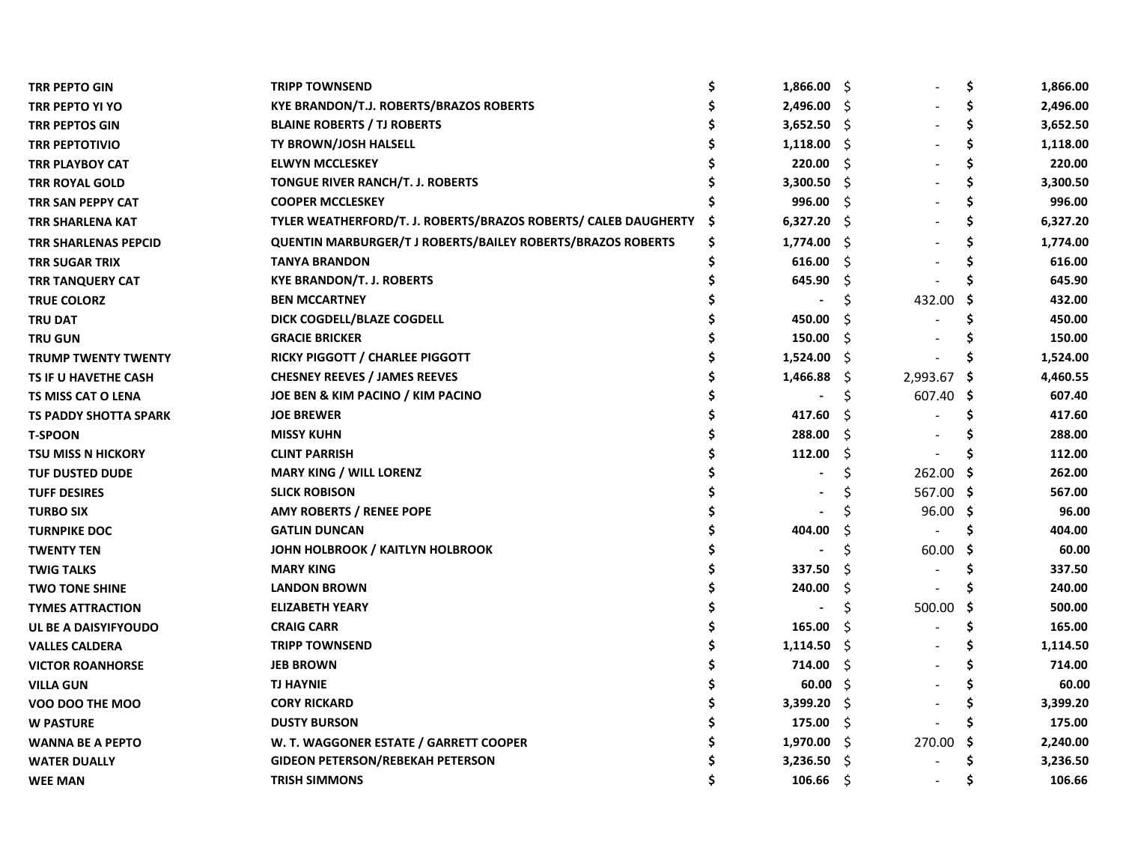| <b>TRR PEPTO GIN</b>         | <b>TRIPP TOWNSEND</b>                                           | Ś  | $1,866.00$ \$ |      |          | \$  | 1,866.00 |
|------------------------------|-----------------------------------------------------------------|----|---------------|------|----------|-----|----------|
| TRR PEPTO YI YO              | <b>KYE BRANDON/T.J. ROBERTS/BRAZOS ROBERTS</b>                  |    | 2,496.00      | - S  |          | Ś   | 2,496.00 |
| <b>TRR PEPTOS GIN</b>        | <b>BLAINE ROBERTS / TJ ROBERTS</b>                              |    | $3,652.50$ \$ |      |          | \$  | 3,652.50 |
| <b>TRR PEPTOTIVIO</b>        | TY BROWN/JOSH HALSELL                                           | \$ | 1,118.00      | - S  |          | \$  | 1,118.00 |
| <b>TRR PLAYBOY CAT</b>       | <b>ELWYN MCCLESKEY</b>                                          | \$ | 220.00        | \$.  |          | \$  | 220.00   |
| <b>TRR ROYAL GOLD</b>        | TONGUE RIVER RANCH/T. J. ROBERTS                                | \$ | 3,300.50      | -S   |          | \$  | 3,300.50 |
| TRR SAN PEPPY CAT            | <b>COOPER MCCLESKEY</b>                                         |    | 996.00        | -\$  |          | S   | 996.00   |
| <b>TRR SHARLENA KAT</b>      | TYLER WEATHERFORD/T. J. ROBERTS/BRAZOS ROBERTS/ CALEB DAUGHERTY | S  | $6,327.20$ \$ |      |          | S   | 6,327.20 |
| TRR SHARLENAS PEPCID         | QUENTIN MARBURGER/T J ROBERTS/BAILEY ROBERTS/BRAZOS ROBERTS     | \$ | 1,774.00      | - S  |          |     | 1,774.00 |
| TRR SUGAR TRIX               | <b>TANYA BRANDON</b>                                            | Ś  | 616.00        | Š.   |          |     | 616.00   |
| <b>TRR TANQUERY CAT</b>      | <b>KYE BRANDON/T. J. ROBERTS</b>                                |    | 645.90        | S    |          |     | 645.90   |
| <b>TRUE COLORZ</b>           | <b>BEN MCCARTNEY</b>                                            |    |               | S    | 432.00   | S   | 432.00   |
| <b>TRU DAT</b>               | DICK COGDELL/BLAZE COGDELL                                      |    | 450.00        | S    |          |     | 450.00   |
| <b>TRU GUN</b>               | <b>GRACIE BRICKER</b>                                           |    | 150.00        | S    |          |     | 150.00   |
| <b>TRUMP TWENTY TWENTY</b>   | RICKY PIGGOTT / CHARLEE PIGGOTT                                 |    | 1,524.00      | - S  |          |     | 1,524.00 |
| TS IF U HAVETHE CASH         | <b>CHESNEY REEVES / JAMES REEVES</b>                            |    | 1,466.88      | -S   | 2,993.67 | -S  | 4,460.55 |
| <b>TS MISS CAT O LENA</b>    | JOE BEN & KIM PACINO / KIM PACINO                               |    |               | \$   | 607.40   | \$. | 607.40   |
| <b>TS PADDY SHOTTA SPARK</b> | <b>JOE BREWER</b>                                               |    | 417.60        | Ŝ    |          | \$. | 417.60   |
| <b>T-SPOON</b>               | <b>MISSY KUHN</b>                                               |    | 288.00        | \$   |          | S   | 288.00   |
| <b>TSU MISS N HICKORY</b>    | <b>CLINT PARRISH</b>                                            |    | 112.00        | Ŝ.   |          | S   | 112.00   |
| <b>TUF DUSTED DUDE</b>       | <b>MARY KING / WILL LORENZ</b>                                  |    |               | Ś    | 262.00   | -S  | 262.00   |
| <b>TUFF DESIRES</b>          | <b>SLICK ROBISON</b>                                            |    |               | S    | 567.00   | -S  | 567.00   |
| <b>TURBO SIX</b>             | <b>AMY ROBERTS / RENEE POPE</b>                                 |    |               |      | 96.00    | -\$ | 96.00    |
| <b>TURNPIKE DOC</b>          | <b>GATLIN DUNCAN</b>                                            |    | 404.00        |      |          | Ś   | 404.00   |
| <b>TWENTY TEN</b>            | JOHN HOLBROOK / KAITLYN HOLBROOK                                |    |               | Ś    | 60.00    | -S  | 60.00    |
| <b>TWIG TALKS</b>            | <b>MARY KING</b>                                                |    | 337.50        |      |          | S   | 337.50   |
| <b>TWO TONE SHINE</b>        | <b>LANDON BROWN</b>                                             |    | 240.00        | \$.  |          |     | 240.00   |
| <b>TYMES ATTRACTION</b>      | <b>ELIZABETH YEARY</b>                                          |    |               | Ś    | 500.00   | -S  | 500.00   |
| UL BE A DAISYIFYOUDO         | <b>CRAIG CARR</b>                                               |    | 165.00        | S    |          |     | 165.00   |
| <b>VALLES CALDERA</b>        | <b>TRIPP TOWNSEND</b>                                           |    | 1,114.50      | - Ş  |          |     | 1,114.50 |
| <b>VICTOR ROANHORSE</b>      | <b>JEB BROWN</b>                                                |    | 714.00        | -\$  |          |     | 714.00   |
| <b>VILLA GUN</b>             | <b>TJ HAYNIE</b>                                                |    | 60.00         | -\$  |          |     | 60.00    |
| VOO DOO THE MOO              | <b>CORY RICKARD</b>                                             |    | 3,399.20      | - S  |          |     | 3,399.20 |
| <b>W PASTURE</b>             | <b>DUSTY BURSON</b>                                             |    | 175.00        | -\$  |          |     | 175.00   |
| <b>WANNA BE A PEPTO</b>      | W. T. WAGGONER ESTATE / GARRETT COOPER                          |    | 1,970.00      | - S  | 270.00   | \$. | 2,240.00 |
| <b>WATER DUALLY</b>          | <b>GIDEON PETERSON/REBEKAH PETERSON</b>                         |    | 3,236.50      | - S  |          |     | 3,236.50 |
| <b>WEE MAN</b>               | <b>TRISH SIMMONS</b>                                            |    | 106.66        | - \$ |          |     | 106.66   |